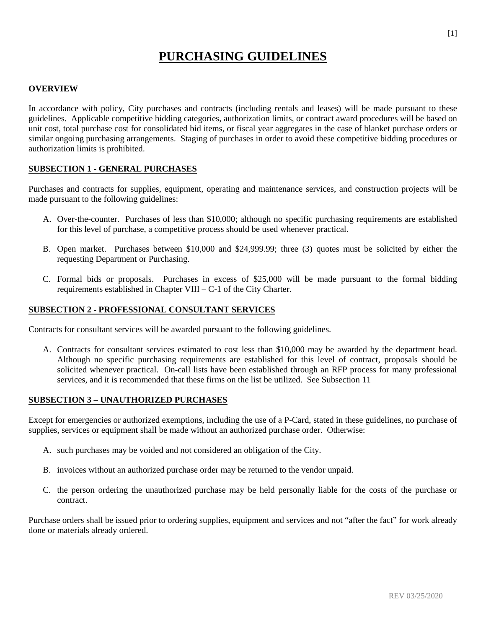# **PURCHASING GUIDELINES**

#### **OVERVIEW**

In accordance with policy, City purchases and contracts (including rentals and leases) will be made pursuant to these guidelines. Applicable competitive bidding categories, authorization limits, or contract award procedures will be based on unit cost, total purchase cost for consolidated bid items, or fiscal year aggregates in the case of blanket purchase orders or similar ongoing purchasing arrangements. Staging of purchases in order to avoid these competitive bidding procedures or authorization limits is prohibited.

## **SUBSECTION 1 - GENERAL PURCHASES**

Purchases and contracts for supplies, equipment, operating and maintenance services, and construction projects will be made pursuant to the following guidelines:

- A. Over-the-counter. Purchases of less than \$10,000; although no specific purchasing requirements are established for this level of purchase, a competitive process should be used whenever practical.
- B. Open market. Purchases between \$10,000 and \$24,999.99; three (3) quotes must be solicited by either the requesting Department or Purchasing.
- C. Formal bids or proposals. Purchases in excess of \$25,000 will be made pursuant to the formal bidding requirements established in Chapter VIII – C-1 of the City Charter.

#### **SUBSECTION 2 - PROFESSIONAL CONSULTANT SERVICES**

Contracts for consultant services will be awarded pursuant to the following guidelines.

A. Contracts for consultant services estimated to cost less than \$10,000 may be awarded by the department head. Although no specific purchasing requirements are established for this level of contract, proposals should be solicited whenever practical. On-call lists have been established through an RFP process for many professional services, and it is recommended that these firms on the list be utilized. See Subsection 11

#### **SUBSECTION 3 – UNAUTHORIZED PURCHASES**

Except for emergencies or authorized exemptions, including the use of a P-Card, stated in these guidelines, no purchase of supplies, services or equipment shall be made without an authorized purchase order. Otherwise:

- A. such purchases may be voided and not considered an obligation of the City.
- B. invoices without an authorized purchase order may be returned to the vendor unpaid.
- C. the person ordering the unauthorized purchase may be held personally liable for the costs of the purchase or contract.

Purchase orders shall be issued prior to ordering supplies, equipment and services and not "after the fact" for work already done or materials already ordered.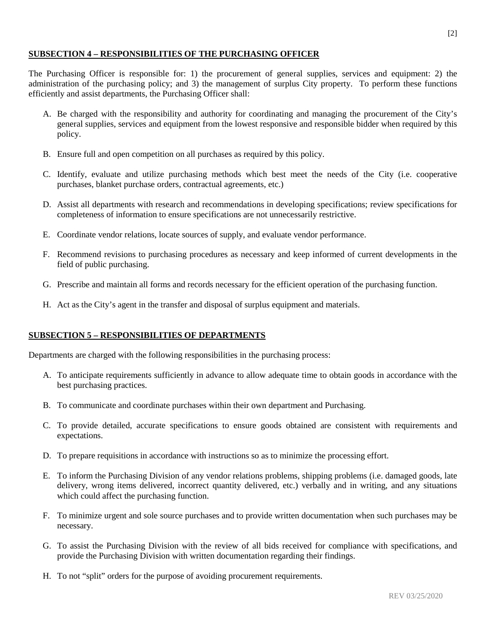# **SUBSECTION 4 – RESPONSIBILITIES OF THE PURCHASING OFFICER**

The Purchasing Officer is responsible for: 1) the procurement of general supplies, services and equipment: 2) the administration of the purchasing policy; and 3) the management of surplus City property. To perform these functions efficiently and assist departments, the Purchasing Officer shall:

- A. Be charged with the responsibility and authority for coordinating and managing the procurement of the City's general supplies, services and equipment from the lowest responsive and responsible bidder when required by this policy.
- B. Ensure full and open competition on all purchases as required by this policy.
- C. Identify, evaluate and utilize purchasing methods which best meet the needs of the City (i.e. cooperative purchases, blanket purchase orders, contractual agreements, etc.)
- D. Assist all departments with research and recommendations in developing specifications; review specifications for completeness of information to ensure specifications are not unnecessarily restrictive.
- E. Coordinate vendor relations, locate sources of supply, and evaluate vendor performance.
- F. Recommend revisions to purchasing procedures as necessary and keep informed of current developments in the field of public purchasing.
- G. Prescribe and maintain all forms and records necessary for the efficient operation of the purchasing function.
- H. Act as the City's agent in the transfer and disposal of surplus equipment and materials.

#### **SUBSECTION 5 – RESPONSIBILITIES OF DEPARTMENTS**

Departments are charged with the following responsibilities in the purchasing process:

- A. To anticipate requirements sufficiently in advance to allow adequate time to obtain goods in accordance with the best purchasing practices.
- B. To communicate and coordinate purchases within their own department and Purchasing.
- C. To provide detailed, accurate specifications to ensure goods obtained are consistent with requirements and expectations.
- D. To prepare requisitions in accordance with instructions so as to minimize the processing effort.
- E. To inform the Purchasing Division of any vendor relations problems, shipping problems (i.e. damaged goods, late delivery, wrong items delivered, incorrect quantity delivered, etc.) verbally and in writing, and any situations which could affect the purchasing function.
- F. To minimize urgent and sole source purchases and to provide written documentation when such purchases may be necessary.
- G. To assist the Purchasing Division with the review of all bids received for compliance with specifications, and provide the Purchasing Division with written documentation regarding their findings.
- H. To not "split" orders for the purpose of avoiding procurement requirements.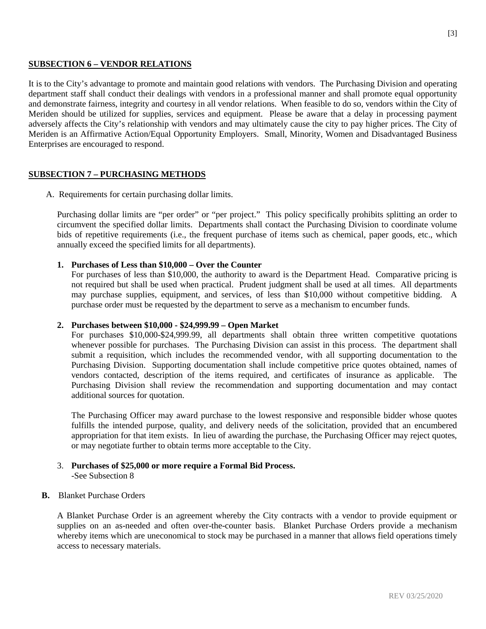## **SUBSECTION 6 – VENDOR RELATIONS**

It is to the City's advantage to promote and maintain good relations with vendors. The Purchasing Division and operating department staff shall conduct their dealings with vendors in a professional manner and shall promote equal opportunity and demonstrate fairness, integrity and courtesy in all vendor relations. When feasible to do so, vendors within the City of Meriden should be utilized for supplies, services and equipment. Please be aware that a delay in processing payment adversely affects the City's relationship with vendors and may ultimately cause the city to pay higher prices. The City of Meriden is an Affirmative Action/Equal Opportunity Employers. Small, Minority, Women and Disadvantaged Business Enterprises are encouraged to respond.

# **SUBSECTION 7 – PURCHASING METHODS**

A. Requirements for certain purchasing dollar limits.

Purchasing dollar limits are "per order" or "per project." This policy specifically prohibits splitting an order to circumvent the specified dollar limits. Departments shall contact the Purchasing Division to coordinate volume bids of repetitive requirements (i.e., the frequent purchase of items such as chemical, paper goods, etc., which annually exceed the specified limits for all departments).

#### **1. Purchases of Less than \$10,000 – Over the Counter**

For purchases of less than \$10,000, the authority to award is the Department Head. Comparative pricing is not required but shall be used when practical. Prudent judgment shall be used at all times. All departments may purchase supplies, equipment, and services, of less than \$10,000 without competitive bidding. A purchase order must be requested by the department to serve as a mechanism to encumber funds.

#### **2. Purchases between \$10,000 - \$24,999.99 – Open Market**

For purchases \$10,000-\$24,999.99, all departments shall obtain three written competitive quotations whenever possible for purchases. The Purchasing Division can assist in this process. The department shall submit a requisition, which includes the recommended vendor, with all supporting documentation to the Purchasing Division. Supporting documentation shall include competitive price quotes obtained, names of vendors contacted, description of the items required, and certificates of insurance as applicable. The Purchasing Division shall review the recommendation and supporting documentation and may contact additional sources for quotation.

The Purchasing Officer may award purchase to the lowest responsive and responsible bidder whose quotes fulfills the intended purpose, quality, and delivery needs of the solicitation, provided that an encumbered appropriation for that item exists. In lieu of awarding the purchase, the Purchasing Officer may reject quotes, or may negotiate further to obtain terms more acceptable to the City.

#### 3. **Purchases of \$25,000 or more require a Formal Bid Process.** -See Subsection 8

#### **B.** Blanket Purchase Orders

A Blanket Purchase Order is an agreement whereby the City contracts with a vendor to provide equipment or supplies on an as-needed and often over-the-counter basis. Blanket Purchase Orders provide a mechanism whereby items which are uneconomical to stock may be purchased in a manner that allows field operations timely access to necessary materials.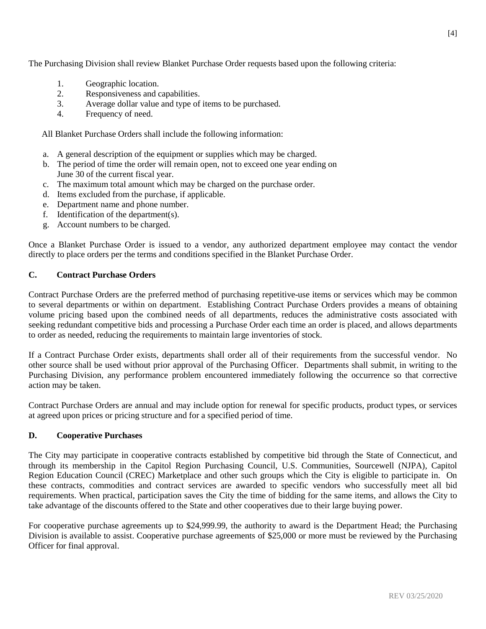The Purchasing Division shall review Blanket Purchase Order requests based upon the following criteria:

- 1. Geographic location.
- 2. Responsiveness and capabilities.
- 3. Average dollar value and type of items to be purchased.
- 4. Frequency of need.

All Blanket Purchase Orders shall include the following information:

- a. A general description of the equipment or supplies which may be charged.
- b. The period of time the order will remain open, not to exceed one year ending on June 30 of the current fiscal year.
- c. The maximum total amount which may be charged on the purchase order.
- d. Items excluded from the purchase, if applicable.
- e. Department name and phone number.
- f. Identification of the department(s).
- g. Account numbers to be charged.

Once a Blanket Purchase Order is issued to a vendor, any authorized department employee may contact the vendor directly to place orders per the terms and conditions specified in the Blanket Purchase Order.

# **C. Contract Purchase Orders**

Contract Purchase Orders are the preferred method of purchasing repetitive-use items or services which may be common to several departments or within on department. Establishing Contract Purchase Orders provides a means of obtaining volume pricing based upon the combined needs of all departments, reduces the administrative costs associated with seeking redundant competitive bids and processing a Purchase Order each time an order is placed, and allows departments to order as needed, reducing the requirements to maintain large inventories of stock.

If a Contract Purchase Order exists, departments shall order all of their requirements from the successful vendor. No other source shall be used without prior approval of the Purchasing Officer. Departments shall submit, in writing to the Purchasing Division, any performance problem encountered immediately following the occurrence so that corrective action may be taken.

Contract Purchase Orders are annual and may include option for renewal for specific products, product types, or services at agreed upon prices or pricing structure and for a specified period of time.

# **D. Cooperative Purchases**

The City may participate in cooperative contracts established by competitive bid through the State of Connecticut, and through its membership in the Capitol Region Purchasing Council, U.S. Communities, Sourcewell (NJPA), Capitol Region Education Council (CREC) Marketplace and other such groups which the City is eligible to participate in. On these contracts, commodities and contract services are awarded to specific vendors who successfully meet all bid requirements. When practical, participation saves the City the time of bidding for the same items, and allows the City to take advantage of the discounts offered to the State and other cooperatives due to their large buying power.

For cooperative purchase agreements up to \$24,999.99, the authority to award is the Department Head; the Purchasing Division is available to assist. Cooperative purchase agreements of \$25,000 or more must be reviewed by the Purchasing Officer for final approval.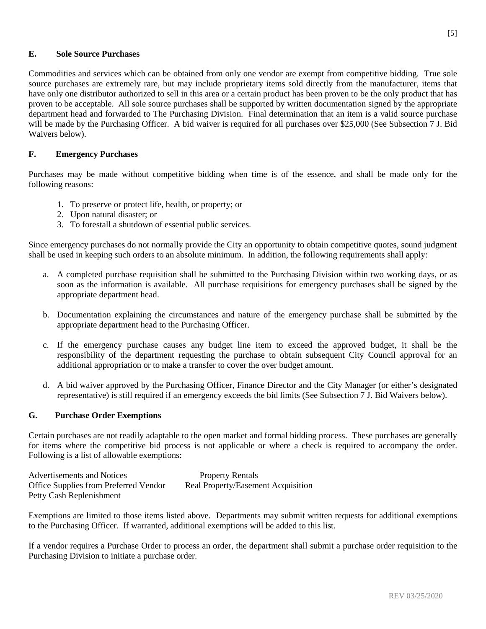## **E. Sole Source Purchases**

Commodities and services which can be obtained from only one vendor are exempt from competitive bidding. True sole source purchases are extremely rare, but may include proprietary items sold directly from the manufacturer, items that have only one distributor authorized to sell in this area or a certain product has been proven to be the only product that has proven to be acceptable. All sole source purchases shall be supported by written documentation signed by the appropriate department head and forwarded to The Purchasing Division. Final determination that an item is a valid source purchase will be made by the Purchasing Officer. A bid waiver is required for all purchases over \$25,000 (See Subsection 7 J. Bid Waivers below).

# **F. Emergency Purchases**

Purchases may be made without competitive bidding when time is of the essence, and shall be made only for the following reasons:

- 1. To preserve or protect life, health, or property; or
- 2. Upon natural disaster; or
- 3. To forestall a shutdown of essential public services.

Since emergency purchases do not normally provide the City an opportunity to obtain competitive quotes, sound judgment shall be used in keeping such orders to an absolute minimum. In addition, the following requirements shall apply:

- a. A completed purchase requisition shall be submitted to the Purchasing Division within two working days, or as soon as the information is available. All purchase requisitions for emergency purchases shall be signed by the appropriate department head.
- b. Documentation explaining the circumstances and nature of the emergency purchase shall be submitted by the appropriate department head to the Purchasing Officer.
- c. If the emergency purchase causes any budget line item to exceed the approved budget, it shall be the responsibility of the department requesting the purchase to obtain subsequent City Council approval for an additional appropriation or to make a transfer to cover the over budget amount.
- d. A bid waiver approved by the Purchasing Officer, Finance Director and the City Manager (or either's designated representative) is still required if an emergency exceeds the bid limits (See Subsection 7 J. Bid Waivers below).

#### **G. Purchase Order Exemptions**

Certain purchases are not readily adaptable to the open market and formal bidding process. These purchases are generally for items where the competitive bid process is not applicable or where a check is required to accompany the order. Following is a list of allowable exemptions:

| Advertisements and Notices            | <b>Property Rentals</b>            |
|---------------------------------------|------------------------------------|
| Office Supplies from Preferred Vendor | Real Property/Easement Acquisition |
| Petty Cash Replenishment              |                                    |

Exemptions are limited to those items listed above. Departments may submit written requests for additional exemptions to the Purchasing Officer. If warranted, additional exemptions will be added to this list.

If a vendor requires a Purchase Order to process an order, the department shall submit a purchase order requisition to the Purchasing Division to initiate a purchase order.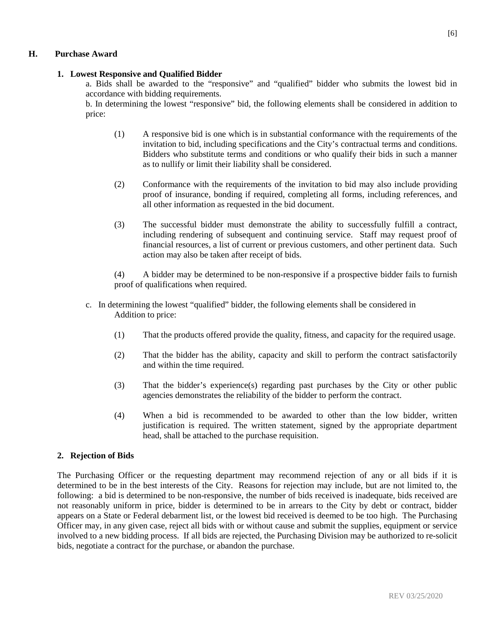## **H. Purchase Award**

#### **1. Lowest Responsive and Qualified Bidder**

a. Bids shall be awarded to the "responsive" and "qualified" bidder who submits the lowest bid in accordance with bidding requirements.

b. In determining the lowest "responsive" bid, the following elements shall be considered in addition to price:

- (1) A responsive bid is one which is in substantial conformance with the requirements of the invitation to bid, including specifications and the City's contractual terms and conditions. Bidders who substitute terms and conditions or who qualify their bids in such a manner as to nullify or limit their liability shall be considered.
- (2) Conformance with the requirements of the invitation to bid may also include providing proof of insurance, bonding if required, completing all forms, including references, and all other information as requested in the bid document.
- (3) The successful bidder must demonstrate the ability to successfully fulfill a contract, including rendering of subsequent and continuing service. Staff may request proof of financial resources, a list of current or previous customers, and other pertinent data. Such action may also be taken after receipt of bids.

(4) A bidder may be determined to be non-responsive if a prospective bidder fails to furnish proof of qualifications when required.

- c. In determining the lowest "qualified" bidder, the following elements shall be considered in Addition to price:
	- (1) That the products offered provide the quality, fitness, and capacity for the required usage.
	- (2) That the bidder has the ability, capacity and skill to perform the contract satisfactorily and within the time required.
	- (3) That the bidder's experience(s) regarding past purchases by the City or other public agencies demonstrates the reliability of the bidder to perform the contract.
	- (4) When a bid is recommended to be awarded to other than the low bidder, written justification is required. The written statement, signed by the appropriate department head, shall be attached to the purchase requisition.

#### **2. Rejection of Bids**

The Purchasing Officer or the requesting department may recommend rejection of any or all bids if it is determined to be in the best interests of the City. Reasons for rejection may include, but are not limited to, the following: a bid is determined to be non-responsive, the number of bids received is inadequate, bids received are not reasonably uniform in price, bidder is determined to be in arrears to the City by debt or contract, bidder appears on a State or Federal debarment list, or the lowest bid received is deemed to be too high. The Purchasing Officer may, in any given case, reject all bids with or without cause and submit the supplies, equipment or service involved to a new bidding process. If all bids are rejected, the Purchasing Division may be authorized to re-solicit bids, negotiate a contract for the purchase, or abandon the purchase.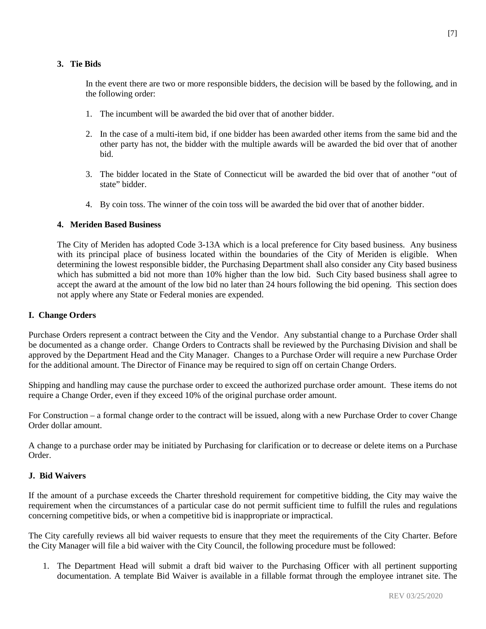# **3. Tie Bids**

In the event there are two or more responsible bidders, the decision will be based by the following, and in the following order:

- 1. The incumbent will be awarded the bid over that of another bidder.
- 2. In the case of a multi-item bid, if one bidder has been awarded other items from the same bid and the other party has not, the bidder with the multiple awards will be awarded the bid over that of another bid.
- 3. The bidder located in the State of Connecticut will be awarded the bid over that of another "out of state" bidder.
- 4. By coin toss. The winner of the coin toss will be awarded the bid over that of another bidder.

# **4. Meriden Based Business**

The City of Meriden has adopted Code 3-13A which is a local preference for City based business. Any business with its principal place of business located within the boundaries of the City of Meriden is eligible. When determining the lowest responsible bidder, the Purchasing Department shall also consider any City based business which has submitted a bid not more than 10% higher than the low bid. Such City based business shall agree to accept the award at the amount of the low bid no later than 24 hours following the bid opening. This section does not apply where any State or Federal monies are expended.

# **I. Change Orders**

Purchase Orders represent a contract between the City and the Vendor. Any substantial change to a Purchase Order shall be documented as a change order. Change Orders to Contracts shall be reviewed by the Purchasing Division and shall be approved by the Department Head and the City Manager. Changes to a Purchase Order will require a new Purchase Order for the additional amount. The Director of Finance may be required to sign off on certain Change Orders.

Shipping and handling may cause the purchase order to exceed the authorized purchase order amount. These items do not require a Change Order, even if they exceed 10% of the original purchase order amount.

For Construction – a formal change order to the contract will be issued, along with a new Purchase Order to cover Change Order dollar amount.

A change to a purchase order may be initiated by Purchasing for clarification or to decrease or delete items on a Purchase Order.

# **J. Bid Waivers**

If the amount of a purchase exceeds the Charter threshold requirement for competitive bidding, the City may waive the requirement when the circumstances of a particular case do not permit sufficient time to fulfill the rules and regulations concerning competitive bids, or when a competitive bid is inappropriate or impractical.

The City carefully reviews all bid waiver requests to ensure that they meet the requirements of the City Charter. Before the City Manager will file a bid waiver with the City Council, the following procedure must be followed:

1. The Department Head will submit a draft bid waiver to the Purchasing Officer with all pertinent supporting documentation. A template Bid Waiver is available in a fillable format through the employee intranet site. The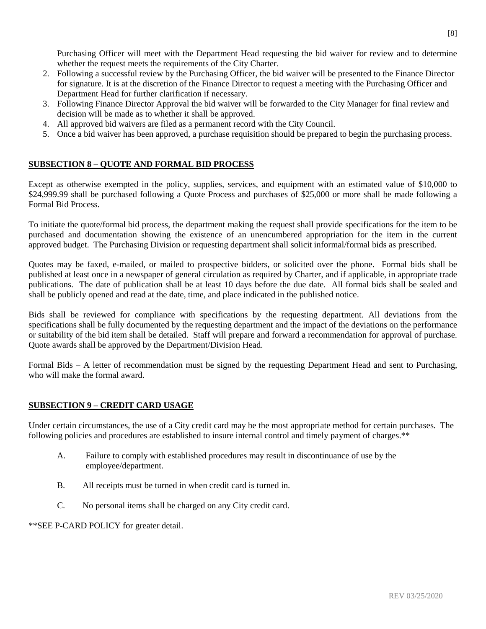Purchasing Officer will meet with the Department Head requesting the bid waiver for review and to determine whether the request meets the requirements of the City Charter.

- 2. Following a successful review by the Purchasing Officer, the bid waiver will be presented to the Finance Director for signature. It is at the discretion of the Finance Director to request a meeting with the Purchasing Officer and Department Head for further clarification if necessary.
- 3. Following Finance Director Approval the bid waiver will be forwarded to the City Manager for final review and decision will be made as to whether it shall be approved.
- 4. All approved bid waivers are filed as a permanent record with the City Council.
- 5. Once a bid waiver has been approved, a purchase requisition should be prepared to begin the purchasing process.

# **SUBSECTION 8 – QUOTE AND FORMAL BID PROCESS**

Except as otherwise exempted in the policy, supplies, services, and equipment with an estimated value of \$10,000 to \$24,999.99 shall be purchased following a Quote Process and purchases of \$25,000 or more shall be made following a Formal Bid Process.

To initiate the quote/formal bid process, the department making the request shall provide specifications for the item to be purchased and documentation showing the existence of an unencumbered appropriation for the item in the current approved budget. The Purchasing Division or requesting department shall solicit informal/formal bids as prescribed.

Quotes may be faxed, e-mailed, or mailed to prospective bidders, or solicited over the phone. Formal bids shall be published at least once in a newspaper of general circulation as required by Charter, and if applicable, in appropriate trade publications. The date of publication shall be at least 10 days before the due date. All formal bids shall be sealed and shall be publicly opened and read at the date, time, and place indicated in the published notice.

Bids shall be reviewed for compliance with specifications by the requesting department. All deviations from the specifications shall be fully documented by the requesting department and the impact of the deviations on the performance or suitability of the bid item shall be detailed. Staff will prepare and forward a recommendation for approval of purchase. Quote awards shall be approved by the Department/Division Head.

Formal Bids – A letter of recommendation must be signed by the requesting Department Head and sent to Purchasing, who will make the formal award.

# **SUBSECTION 9 – CREDIT CARD USAGE**

Under certain circumstances, the use of a City credit card may be the most appropriate method for certain purchases. The following policies and procedures are established to insure internal control and timely payment of charges.\*\*

- A. Failure to comply with established procedures may result in discontinuance of use by the employee/department.
- B. All receipts must be turned in when credit card is turned in.
- C. No personal items shall be charged on any City credit card.

\*\*SEE P-CARD POLICY for greater detail.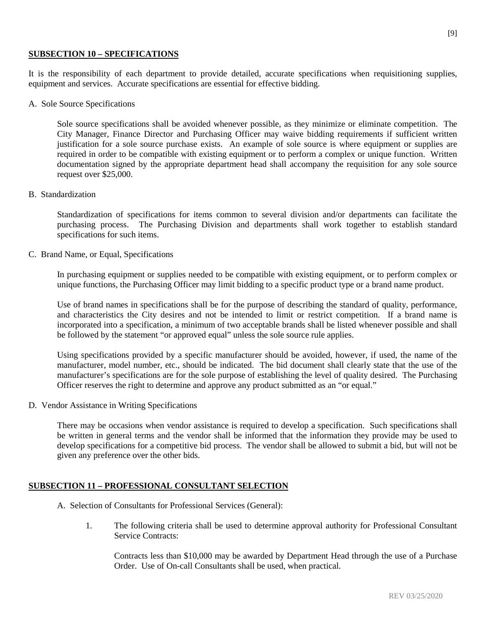#### **SUBSECTION 10 – SPECIFICATIONS**

It is the responsibility of each department to provide detailed, accurate specifications when requisitioning supplies, equipment and services. Accurate specifications are essential for effective bidding.

A. Sole Source Specifications

Sole source specifications shall be avoided whenever possible, as they minimize or eliminate competition. The City Manager, Finance Director and Purchasing Officer may waive bidding requirements if sufficient written justification for a sole source purchase exists. An example of sole source is where equipment or supplies are required in order to be compatible with existing equipment or to perform a complex or unique function. Written documentation signed by the appropriate department head shall accompany the requisition for any sole source request over \$25,000.

B. Standardization

Standardization of specifications for items common to several division and/or departments can facilitate the purchasing process. The Purchasing Division and departments shall work together to establish standard specifications for such items.

C. Brand Name, or Equal, Specifications

In purchasing equipment or supplies needed to be compatible with existing equipment, or to perform complex or unique functions, the Purchasing Officer may limit bidding to a specific product type or a brand name product.

Use of brand names in specifications shall be for the purpose of describing the standard of quality, performance, and characteristics the City desires and not be intended to limit or restrict competition. If a brand name is incorporated into a specification, a minimum of two acceptable brands shall be listed whenever possible and shall be followed by the statement "or approved equal" unless the sole source rule applies.

Using specifications provided by a specific manufacturer should be avoided, however, if used, the name of the manufacturer, model number, etc., should be indicated. The bid document shall clearly state that the use of the manufacturer's specifications are for the sole purpose of establishing the level of quality desired. The Purchasing Officer reserves the right to determine and approve any product submitted as an "or equal."

D. Vendor Assistance in Writing Specifications

There may be occasions when vendor assistance is required to develop a specification. Such specifications shall be written in general terms and the vendor shall be informed that the information they provide may be used to develop specifications for a competitive bid process. The vendor shall be allowed to submit a bid, but will not be given any preference over the other bids.

# **SUBSECTION 11 – PROFESSIONAL CONSULTANT SELECTION**

- A. Selection of Consultants for Professional Services (General):
	- 1. The following criteria shall be used to determine approval authority for Professional Consultant Service Contracts:

Contracts less than \$10,000 may be awarded by Department Head through the use of a Purchase Order. Use of On-call Consultants shall be used, when practical.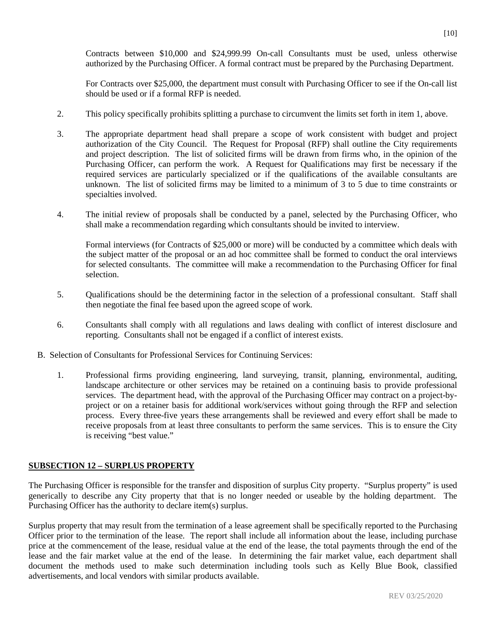Contracts between \$10,000 and \$24,999.99 On-call Consultants must be used, unless otherwise authorized by the Purchasing Officer. A formal contract must be prepared by the Purchasing Department.

For Contracts over \$25,000, the department must consult with Purchasing Officer to see if the On-call list should be used or if a formal RFP is needed.

- 2. This policy specifically prohibits splitting a purchase to circumvent the limits set forth in item 1, above.
- 3. The appropriate department head shall prepare a scope of work consistent with budget and project authorization of the City Council. The Request for Proposal (RFP) shall outline the City requirements and project description. The list of solicited firms will be drawn from firms who, in the opinion of the Purchasing Officer, can perform the work. A Request for Qualifications may first be necessary if the required services are particularly specialized or if the qualifications of the available consultants are unknown. The list of solicited firms may be limited to a minimum of 3 to 5 due to time constraints or specialties involved.
- 4. The initial review of proposals shall be conducted by a panel, selected by the Purchasing Officer, who shall make a recommendation regarding which consultants should be invited to interview.

Formal interviews (for Contracts of \$25,000 or more) will be conducted by a committee which deals with the subject matter of the proposal or an ad hoc committee shall be formed to conduct the oral interviews for selected consultants. The committee will make a recommendation to the Purchasing Officer for final selection.

- 5. Qualifications should be the determining factor in the selection of a professional consultant. Staff shall then negotiate the final fee based upon the agreed scope of work.
- 6. Consultants shall comply with all regulations and laws dealing with conflict of interest disclosure and reporting. Consultants shall not be engaged if a conflict of interest exists.
- B. Selection of Consultants for Professional Services for Continuing Services:
	- 1. Professional firms providing engineering, land surveying, transit, planning, environmental, auditing, landscape architecture or other services may be retained on a continuing basis to provide professional services. The department head, with the approval of the Purchasing Officer may contract on a project-byproject or on a retainer basis for additional work/services without going through the RFP and selection process. Every three-five years these arrangements shall be reviewed and every effort shall be made to receive proposals from at least three consultants to perform the same services. This is to ensure the City is receiving "best value."

#### **SUBSECTION 12 – SURPLUS PROPERTY**

The Purchasing Officer is responsible for the transfer and disposition of surplus City property. "Surplus property" is used generically to describe any City property that that is no longer needed or useable by the holding department. The Purchasing Officer has the authority to declare item(s) surplus.

Surplus property that may result from the termination of a lease agreement shall be specifically reported to the Purchasing Officer prior to the termination of the lease. The report shall include all information about the lease, including purchase price at the commencement of the lease, residual value at the end of the lease, the total payments through the end of the lease and the fair market value at the end of the lease. In determining the fair market value, each department shall document the methods used to make such determination including tools such as Kelly Blue Book, classified advertisements, and local vendors with similar products available.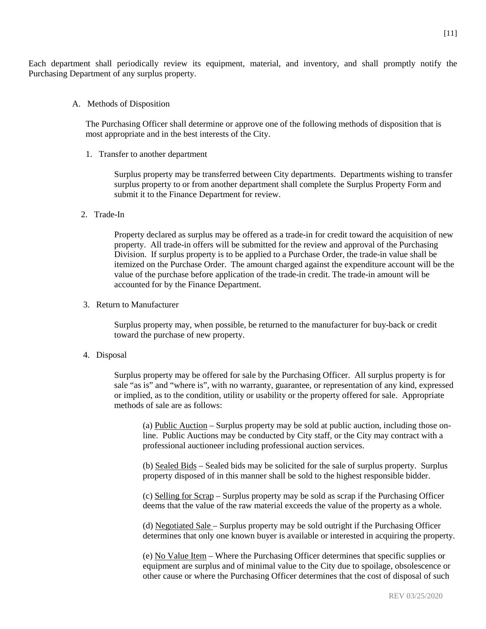Each department shall periodically review its equipment, material, and inventory, and shall promptly notify the Purchasing Department of any surplus property.

A. Methods of Disposition

The Purchasing Officer shall determine or approve one of the following methods of disposition that is most appropriate and in the best interests of the City.

1. Transfer to another department

Surplus property may be transferred between City departments. Departments wishing to transfer surplus property to or from another department shall complete the Surplus Property Form and submit it to the Finance Department for review.

2. Trade-In

Property declared as surplus may be offered as a trade-in for credit toward the acquisition of new property. All trade-in offers will be submitted for the review and approval of the Purchasing Division. If surplus property is to be applied to a Purchase Order, the trade-in value shall be itemized on the Purchase Order. The amount charged against the expenditure account will be the value of the purchase before application of the trade-in credit. The trade-in amount will be accounted for by the Finance Department.

3. Return to Manufacturer

Surplus property may, when possible, be returned to the manufacturer for buy-back or credit toward the purchase of new property.

4. Disposal

Surplus property may be offered for sale by the Purchasing Officer. All surplus property is for sale "as is" and "where is", with no warranty, guarantee, or representation of any kind, expressed or implied, as to the condition, utility or usability or the property offered for sale. Appropriate methods of sale are as follows:

(a) Public Auction – Surplus property may be sold at public auction, including those online. Public Auctions may be conducted by City staff, or the City may contract with a professional auctioneer including professional auction services.

(b) Sealed Bids – Sealed bids may be solicited for the sale of surplus property. Surplus property disposed of in this manner shall be sold to the highest responsible bidder.

(c) Selling for Scrap – Surplus property may be sold as scrap if the Purchasing Officer deems that the value of the raw material exceeds the value of the property as a whole.

(d) Negotiated Sale – Surplus property may be sold outright if the Purchasing Officer determines that only one known buyer is available or interested in acquiring the property.

(e) No Value Item – Where the Purchasing Officer determines that specific supplies or equipment are surplus and of minimal value to the City due to spoilage, obsolescence or other cause or where the Purchasing Officer determines that the cost of disposal of such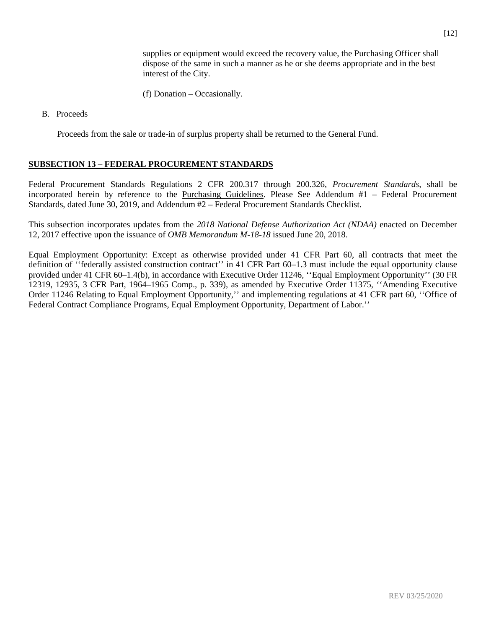supplies or equipment would exceed the recovery value, the Purchasing Officer shall dispose of the same in such a manner as he or she deems appropriate and in the best interest of the City.

- (f) Donation Occasionally.
- B. Proceeds

Proceeds from the sale or trade-in of surplus property shall be returned to the General Fund.

# **SUBSECTION 13 – FEDERAL PROCUREMENT STANDARDS**

Federal Procurement Standards Regulations 2 CFR 200.317 through 200.326, *Procurement Standards*, shall be incorporated herein by reference to the Purchasing Guidelines. Please See Addendum #1 – Federal Procurement Standards, dated June 30, 2019, and Addendum #2 – Federal Procurement Standards Checklist.

This subsection incorporates updates from the *2018 National Defense Authorization Act (NDAA)* enacted on December 12, 2017 effective upon the issuance of *OMB Memorandum M-18-18* issued June 20, 2018.

Equal Employment Opportunity: Except as otherwise provided under 41 CFR Part 60, all contracts that meet the definition of ''federally assisted construction contract'' in 41 CFR Part 60–1.3 must include the equal opportunity clause provided under 41 CFR 60–1.4(b), in accordance with Executive Order 11246, ''Equal Employment Opportunity'' (30 FR 12319, 12935, 3 CFR Part, 1964–1965 Comp., p. 339), as amended by Executive Order 11375, ''Amending Executive Order 11246 Relating to Equal Employment Opportunity,'' and implementing regulations at 41 CFR part 60, ''Office of Federal Contract Compliance Programs, Equal Employment Opportunity, Department of Labor.''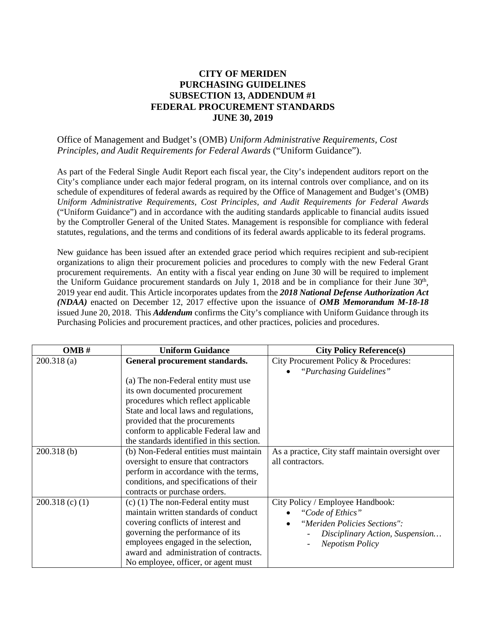# **CITY OF MERIDEN PURCHASING GUIDELINES SUBSECTION 13, ADDENDUM #1 FEDERAL PROCUREMENT STANDARDS JUNE 30, 2019**

# Office of Management and Budget's (OMB) *Uniform Administrative Requirements, Cost Principles, and Audit Requirements for Federal Awards* ("Uniform Guidance").

As part of the Federal Single Audit Report each fiscal year, the City's independent auditors report on the City's compliance under each major federal program, on its internal controls over compliance, and on its schedule of expenditures of federal awards as required by the Office of Management and Budget's (OMB) *Uniform Administrative Requirements, Cost Principles, and Audit Requirements for Federal Awards*  ("Uniform Guidance") and in accordance with the auditing standards applicable to financial audits issued by the Comptroller General of the United States. Management is responsible for compliance with federal statutes, regulations, and the terms and conditions of its federal awards applicable to its federal programs.

New guidance has been issued after an extended grace period which requires recipient and sub-recipient organizations to align their procurement policies and procedures to comply with the new Federal Grant procurement requirements. An entity with a fiscal year ending on June 30 will be required to implement the Uniform Guidance procurement standards on July 1, 2018 and be in compliance for their June 30<sup>th</sup>, 2019 year end audit. This Article incorporates updates from the *2018 National Defense Authorization Act (NDAA)* enacted on December 12, 2017 effective upon the issuance of *OMB Memorandum M-18-18* issued June 20, 2018. This *Addendum* confirms the City's compliance with Uniform Guidance through its Purchasing Policies and procurement practices, and other practices, policies and procedures.

| OMB#              | <b>Uniform Guidance</b>                   | <b>City Policy Reference(s)</b>                   |
|-------------------|-------------------------------------------|---------------------------------------------------|
| 200.318(a)        | General procurement standards.            | City Procurement Policy & Procedures:             |
|                   |                                           | "Purchasing Guidelines"                           |
|                   | (a) The non-Federal entity must use       |                                                   |
|                   | its own documented procurement            |                                                   |
|                   | procedures which reflect applicable       |                                                   |
|                   | State and local laws and regulations,     |                                                   |
|                   | provided that the procurements            |                                                   |
|                   | conform to applicable Federal law and     |                                                   |
|                   | the standards identified in this section. |                                                   |
| 200.318(b)        | (b) Non-Federal entities must maintain    | As a practice, City staff maintain oversight over |
|                   | oversight to ensure that contractors      | all contractors.                                  |
|                   | perform in accordance with the terms,     |                                                   |
|                   | conditions, and specifications of their   |                                                   |
|                   | contracts or purchase orders.             |                                                   |
| $200.318$ (c) (1) | $(c)$ (1) The non-Federal entity must     | City Policy / Employee Handbook:                  |
|                   | maintain written standards of conduct     | "Code of Ethics"                                  |
|                   | covering conflicts of interest and        | "Meriden Policies Sections":<br>$\bullet$         |
|                   | governing the performance of its          | Disciplinary Action, Suspension                   |
|                   | employees engaged in the selection,       | <b>Nepotism Policy</b>                            |
|                   | award and administration of contracts.    |                                                   |
|                   | No employee, officer, or agent must       |                                                   |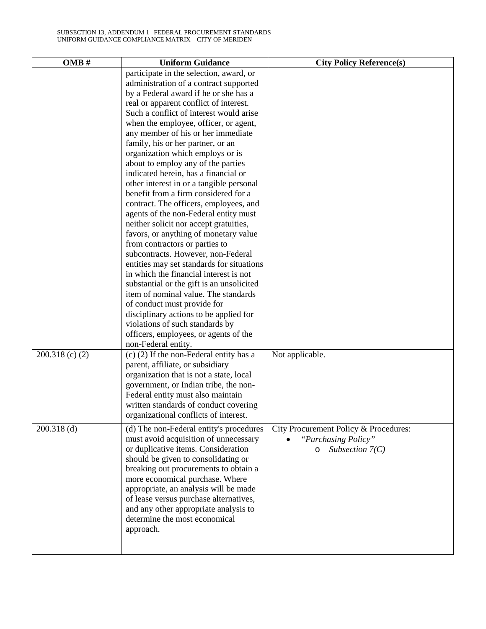| OMB#                               | <b>Uniform Guidance</b>                                                                                                                                                                                                                                                                                                                                                                                                                                                                                                                                                                                                                                                                                                                                                                                                                                                                                                                                                                                                                                                                                                                         | <b>City Policy Reference(s)</b>                                                                                 |
|------------------------------------|-------------------------------------------------------------------------------------------------------------------------------------------------------------------------------------------------------------------------------------------------------------------------------------------------------------------------------------------------------------------------------------------------------------------------------------------------------------------------------------------------------------------------------------------------------------------------------------------------------------------------------------------------------------------------------------------------------------------------------------------------------------------------------------------------------------------------------------------------------------------------------------------------------------------------------------------------------------------------------------------------------------------------------------------------------------------------------------------------------------------------------------------------|-----------------------------------------------------------------------------------------------------------------|
|                                    | participate in the selection, award, or<br>administration of a contract supported<br>by a Federal award if he or she has a<br>real or apparent conflict of interest.<br>Such a conflict of interest would arise<br>when the employee, officer, or agent,<br>any member of his or her immediate<br>family, his or her partner, or an<br>organization which employs or is<br>about to employ any of the parties<br>indicated herein, has a financial or<br>other interest in or a tangible personal<br>benefit from a firm considered for a<br>contract. The officers, employees, and<br>agents of the non-Federal entity must<br>neither solicit nor accept gratuities,<br>favors, or anything of monetary value<br>from contractors or parties to<br>subcontracts. However, non-Federal<br>entities may set standards for situations<br>in which the financial interest is not<br>substantial or the gift is an unsolicited<br>item of nominal value. The standards<br>of conduct must provide for<br>disciplinary actions to be applied for<br>violations of such standards by<br>officers, employees, or agents of the<br>non-Federal entity. |                                                                                                                 |
| $200.318$ (c) (2)<br>$200.318$ (d) | $(c)$ (2) If the non-Federal entity has a<br>parent, affiliate, or subsidiary<br>organization that is not a state, local<br>government, or Indian tribe, the non-<br>Federal entity must also maintain<br>written standards of conduct covering<br>organizational conflicts of interest.<br>(d) The non-Federal entity's procedures<br>must avoid acquisition of unnecessary<br>or duplicative items. Consideration<br>should be given to consolidating or<br>breaking out procurements to obtain a<br>more economical purchase. Where<br>appropriate, an analysis will be made<br>of lease versus purchase alternatives,<br>and any other appropriate analysis to<br>determine the most economical<br>approach.                                                                                                                                                                                                                                                                                                                                                                                                                                | Not applicable.<br>City Procurement Policy & Procedures:<br>"Purchasing Policy"<br>Subsection $7(C)$<br>$\circ$ |
|                                    |                                                                                                                                                                                                                                                                                                                                                                                                                                                                                                                                                                                                                                                                                                                                                                                                                                                                                                                                                                                                                                                                                                                                                 |                                                                                                                 |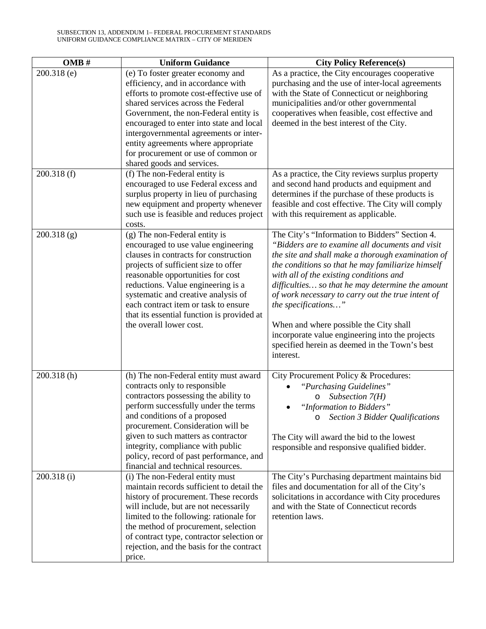| OMB#        | <b>Uniform Guidance</b>                                                                                                                                                                                                                                                                                                                                                                              | <b>City Policy Reference(s)</b>                                                                                                                                                                                                                                                                                                                                                                                                                                                                                                                   |
|-------------|------------------------------------------------------------------------------------------------------------------------------------------------------------------------------------------------------------------------------------------------------------------------------------------------------------------------------------------------------------------------------------------------------|---------------------------------------------------------------------------------------------------------------------------------------------------------------------------------------------------------------------------------------------------------------------------------------------------------------------------------------------------------------------------------------------------------------------------------------------------------------------------------------------------------------------------------------------------|
| 200.318 (e) | (e) To foster greater economy and<br>efficiency, and in accordance with<br>efforts to promote cost-effective use of<br>shared services across the Federal<br>Government, the non-Federal entity is<br>encouraged to enter into state and local<br>intergovernmental agreements or inter-<br>entity agreements where appropriate<br>for procurement or use of common or<br>shared goods and services. | As a practice, the City encourages cooperative<br>purchasing and the use of inter-local agreements<br>with the State of Connecticut or neighboring<br>municipalities and/or other governmental<br>cooperatives when feasible, cost effective and<br>deemed in the best interest of the City.                                                                                                                                                                                                                                                      |
| 200.318(f)  | (f) The non-Federal entity is<br>encouraged to use Federal excess and<br>surplus property in lieu of purchasing<br>new equipment and property whenever<br>such use is feasible and reduces project<br>costs.                                                                                                                                                                                         | As a practice, the City reviews surplus property<br>and second hand products and equipment and<br>determines if the purchase of these products is<br>feasible and cost effective. The City will comply<br>with this requirement as applicable.                                                                                                                                                                                                                                                                                                    |
| 200.318(g)  | (g) The non-Federal entity is<br>encouraged to use value engineering<br>clauses in contracts for construction<br>projects of sufficient size to offer<br>reasonable opportunities for cost<br>reductions. Value engineering is a<br>systematic and creative analysis of<br>each contract item or task to ensure<br>that its essential function is provided at<br>the overall lower cost.             | The City's "Information to Bidders" Section 4.<br>"Bidders are to examine all documents and visit<br>the site and shall make a thorough examination of<br>the conditions so that he may familiarize himself<br>with all of the existing conditions and<br>difficulties so that he may determine the amount<br>of work necessary to carry out the true intent of<br>the specifications"<br>When and where possible the City shall<br>incorporate value engineering into the projects<br>specified herein as deemed in the Town's best<br>interest. |
| 200.318(h)  | (h) The non-Federal entity must award<br>contracts only to responsible<br>contractors possessing the ability to<br>perform successfully under the terms<br>and conditions of a proposed<br>procurement. Consideration will be<br>given to such matters as contractor<br>integrity, compliance with public<br>policy, record of past performance, and<br>financial and technical resources.           | City Procurement Policy & Procedures:<br>"Purchasing Guidelines"<br>Subsection $7(H)$<br>O<br>"Information to Bidders"<br>$\bullet$<br>Section 3 Bidder Qualifications<br>$\circ$<br>The City will award the bid to the lowest<br>responsible and responsive qualified bidder.                                                                                                                                                                                                                                                                    |
| 200.318(i)  | (i) The non-Federal entity must<br>maintain records sufficient to detail the<br>history of procurement. These records<br>will include, but are not necessarily<br>limited to the following: rationale for<br>the method of procurement, selection<br>of contract type, contractor selection or<br>rejection, and the basis for the contract<br>price.                                                | The City's Purchasing department maintains bid<br>files and documentation for all of the City's<br>solicitations in accordance with City procedures<br>and with the State of Connecticut records<br>retention laws.                                                                                                                                                                                                                                                                                                                               |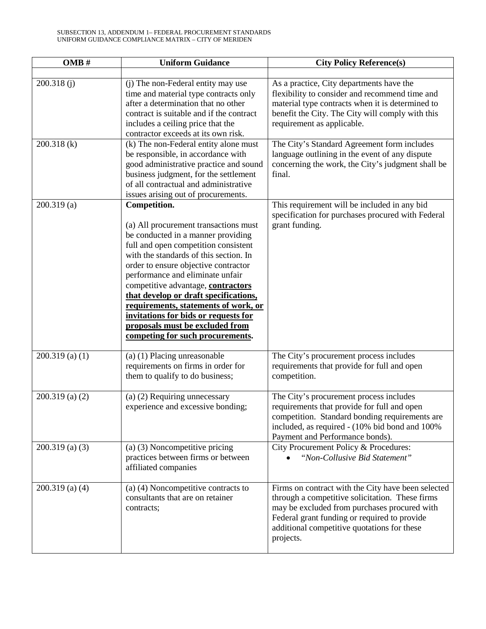| OMB#              | <b>Uniform Guidance</b>                                                                                                                                                                                                                                                                                                                                                                                                                                                                         | <b>City Policy Reference(s)</b>                                                                                                                                                                                                                                   |
|-------------------|-------------------------------------------------------------------------------------------------------------------------------------------------------------------------------------------------------------------------------------------------------------------------------------------------------------------------------------------------------------------------------------------------------------------------------------------------------------------------------------------------|-------------------------------------------------------------------------------------------------------------------------------------------------------------------------------------------------------------------------------------------------------------------|
|                   |                                                                                                                                                                                                                                                                                                                                                                                                                                                                                                 |                                                                                                                                                                                                                                                                   |
| 200.318(i)        | (j) The non-Federal entity may use<br>time and material type contracts only<br>after a determination that no other<br>contract is suitable and if the contract<br>includes a ceiling price that the<br>contractor exceeds at its own risk.                                                                                                                                                                                                                                                      | As a practice, City departments have the<br>flexibility to consider and recommend time and<br>material type contracts when it is determined to<br>benefit the City. The City will comply with this<br>requirement as applicable.                                  |
| 200.318 (k)       | (k) The non-Federal entity alone must<br>be responsible, in accordance with<br>good administrative practice and sound<br>business judgment, for the settlement<br>of all contractual and administrative<br>issues arising out of procurements.                                                                                                                                                                                                                                                  | The City's Standard Agreement form includes<br>language outlining in the event of any dispute<br>concerning the work, the City's judgment shall be<br>final.                                                                                                      |
| 200.319(a)        | Competition.<br>(a) All procurement transactions must<br>be conducted in a manner providing<br>full and open competition consistent<br>with the standards of this section. In<br>order to ensure objective contractor<br>performance and eliminate unfair<br>competitive advantage, contractors<br>that develop or draft specifications,<br>requirements, statements of work, or<br>invitations for bids or requests for<br>proposals must be excluded from<br>competing for such procurements. | This requirement will be included in any bid<br>specification for purchases procured with Federal<br>grant funding.                                                                                                                                               |
| $200.319$ (a) (1) | (a) (1) Placing unreasonable<br>requirements on firms in order for<br>them to qualify to do business;                                                                                                                                                                                                                                                                                                                                                                                           | The City's procurement process includes<br>requirements that provide for full and open<br>competition.                                                                                                                                                            |
| $200.319$ (a) (2) | (a) (2) Requiring unnecessary<br>experience and excessive bonding;                                                                                                                                                                                                                                                                                                                                                                                                                              | The City's procurement process includes<br>requirements that provide for full and open<br>competition. Standard bonding requirements are<br>included, as required - (10% bid bond and 100%<br>Payment and Performance bonds).                                     |
| $200.319$ (a) (3) | (a) (3) Noncompetitive pricing<br>practices between firms or between<br>affiliated companies                                                                                                                                                                                                                                                                                                                                                                                                    | City Procurement Policy & Procedures:<br>"Non-Collusive Bid Statement"                                                                                                                                                                                            |
| $200.319$ (a) (4) | (a) (4) Noncompetitive contracts to<br>consultants that are on retainer<br>contracts;                                                                                                                                                                                                                                                                                                                                                                                                           | Firms on contract with the City have been selected<br>through a competitive solicitation. These firms<br>may be excluded from purchases procured with<br>Federal grant funding or required to provide<br>additional competitive quotations for these<br>projects. |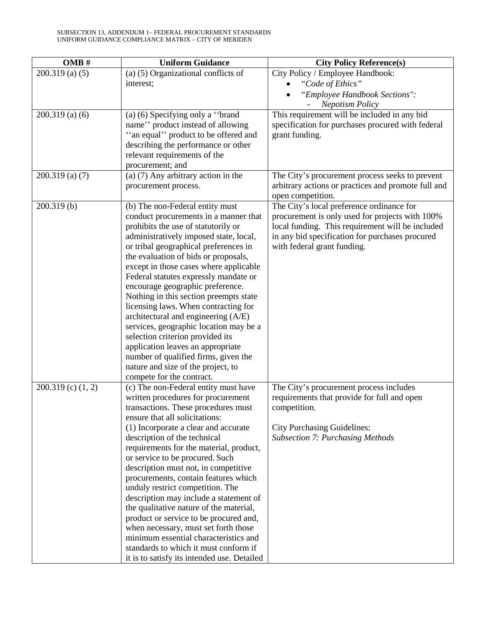| $200.319$ (a) (5)<br>(a) (5) Organizational conflicts of<br>City Policy / Employee Handbook:                  |  |
|---------------------------------------------------------------------------------------------------------------|--|
| interest;<br>"Code of Ethics"                                                                                 |  |
| "Employee Handbook Sections":                                                                                 |  |
| <b>Nepotism Policy</b>                                                                                        |  |
| $200.319$ (a) (6)<br>(a) (6) Specifying only a "brand<br>This requirement will be included in any bid         |  |
| name" product instead of allowing<br>specification for purchases procured with federal                        |  |
| "an equal" product to be offered and<br>grant funding.                                                        |  |
| describing the performance or other                                                                           |  |
| relevant requirements of the                                                                                  |  |
| procurement; and                                                                                              |  |
| (a) $(7)$ Any arbitrary action in the<br>$200.319$ (a) (7)<br>The City's procurement process seeks to prevent |  |
| arbitrary actions or practices and promote full and<br>procurement process.                                   |  |
| open competition.                                                                                             |  |
| The City's local preference ordinance for<br>200.319(b)<br>(b) The non-Federal entity must                    |  |
| conduct procurements in a manner that<br>procurement is only used for projects with 100%                      |  |
| prohibits the use of statutorily or<br>local funding. This requirement will be included                       |  |
| administratively imposed state, local,<br>in any bid specification for purchases procured                     |  |
| or tribal geographical preferences in<br>with federal grant funding.                                          |  |
| the evaluation of bids or proposals,                                                                          |  |
| except in those cases where applicable                                                                        |  |
| Federal statutes expressly mandate or                                                                         |  |
| encourage geographic preference.                                                                              |  |
| Nothing in this section preempts state                                                                        |  |
| licensing laws. When contracting for                                                                          |  |
| architectural and engineering (A/E)                                                                           |  |
| services, geographic location may be a                                                                        |  |
| selection criterion provided its                                                                              |  |
| application leaves an appropriate                                                                             |  |
| number of qualified firms, given the                                                                          |  |
| nature and size of the project, to                                                                            |  |
| compete for the contract.                                                                                     |  |
| The City's procurement process includes<br>$200.319$ (c) $(1, 2)$<br>(c) The non-Federal entity must have     |  |
| written procedures for procurement<br>requirements that provide for full and open                             |  |
| transactions. These procedures must<br>competition.                                                           |  |
| ensure that all solicitations:                                                                                |  |
| (1) Incorporate a clear and accurate<br><b>City Purchasing Guidelines:</b>                                    |  |
| description of the technical<br><b>Subsection 7: Purchasing Methods</b>                                       |  |
| requirements for the material, product,                                                                       |  |
| or service to be procured. Such                                                                               |  |
| description must not, in competitive                                                                          |  |
| procurements, contain features which                                                                          |  |
| unduly restrict competition. The<br>description may include a statement of                                    |  |
| the qualitative nature of the material,                                                                       |  |
| product or service to be procured and,                                                                        |  |
| when necessary, must set forth those                                                                          |  |
| minimum essential characteristics and                                                                         |  |
| standards to which it must conform if                                                                         |  |
| it is to satisfy its intended use. Detailed                                                                   |  |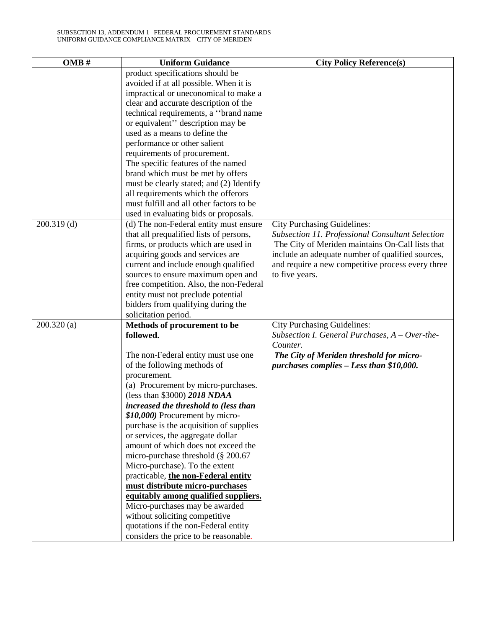| OMB#          | <b>Uniform Guidance</b>                             | <b>City Policy Reference(s)</b>                   |
|---------------|-----------------------------------------------------|---------------------------------------------------|
|               | product specifications should be                    |                                                   |
|               | avoided if at all possible. When it is              |                                                   |
|               | impractical or uneconomical to make a               |                                                   |
|               | clear and accurate description of the               |                                                   |
|               | technical requirements, a "brand name               |                                                   |
|               | or equivalent" description may be                   |                                                   |
|               | used as a means to define the                       |                                                   |
|               | performance or other salient                        |                                                   |
|               | requirements of procurement.                        |                                                   |
|               | The specific features of the named                  |                                                   |
|               | brand which must be met by offers                   |                                                   |
|               | must be clearly stated; and (2) Identify            |                                                   |
|               | all requirements which the offerors                 |                                                   |
|               | must fulfill and all other factors to be            |                                                   |
|               | used in evaluating bids or proposals.               |                                                   |
| $200.319$ (d) | (d) The non-Federal entity must ensure              | <b>City Purchasing Guidelines:</b>                |
|               | that all prequalified lists of persons,             | Subsection 11. Professional Consultant Selection  |
|               | firms, or products which are used in                | The City of Meriden maintains On-Call lists that  |
|               | acquiring goods and services are                    | include an adequate number of qualified sources,  |
|               | current and include enough qualified                | and require a new competitive process every three |
|               | sources to ensure maximum open and                  | to five years.                                    |
|               | free competition. Also, the non-Federal             |                                                   |
|               | entity must not preclude potential                  |                                                   |
|               | bidders from qualifying during the                  |                                                   |
|               | solicitation period.                                |                                                   |
| 200.320(a)    | Methods of procurement to be                        | <b>City Purchasing Guidelines:</b>                |
|               | followed.                                           | Subsection I. General Purchases, $A - Over-the-$  |
|               |                                                     | Counter.                                          |
|               | The non-Federal entity must use one                 | The City of Meriden threshold for micro-          |
|               | of the following methods of                         | purchases complies - Less than \$10,000.          |
|               | procurement.<br>(a) Procurement by micro-purchases. |                                                   |
|               | (less than \$3000) 2018 NDAA                        |                                                   |
|               | increased the threshold to (less than               |                                                   |
|               | \$10,000) Procurement by micro-                     |                                                   |
|               | purchase is the acquisition of supplies             |                                                   |
|               | or services, the aggregate dollar                   |                                                   |
|               | amount of which does not exceed the                 |                                                   |
|               | micro-purchase threshold (§ 200.67                  |                                                   |
|               | Micro-purchase). To the extent                      |                                                   |
|               | practicable, the non-Federal entity                 |                                                   |
|               | must distribute micro-purchases                     |                                                   |
|               | equitably among qualified suppliers.                |                                                   |
|               | Micro-purchases may be awarded                      |                                                   |
|               | without soliciting competitive                      |                                                   |
|               | quotations if the non-Federal entity                |                                                   |
|               | considers the price to be reasonable.               |                                                   |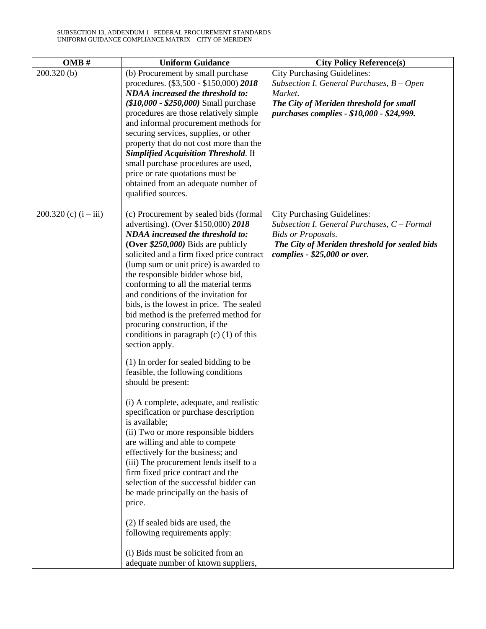| OMB#                    | <b>Uniform Guidance</b>                                                                                                                                                                                                                                                                                                                                                                                                                                                                                                                                                                                                                                                                                                                                                                                                                                                                                                                                                                                                                                                                                      | <b>City Policy Reference(s)</b>                                                                                                                                                                 |
|-------------------------|--------------------------------------------------------------------------------------------------------------------------------------------------------------------------------------------------------------------------------------------------------------------------------------------------------------------------------------------------------------------------------------------------------------------------------------------------------------------------------------------------------------------------------------------------------------------------------------------------------------------------------------------------------------------------------------------------------------------------------------------------------------------------------------------------------------------------------------------------------------------------------------------------------------------------------------------------------------------------------------------------------------------------------------------------------------------------------------------------------------|-------------------------------------------------------------------------------------------------------------------------------------------------------------------------------------------------|
| 200.320(b)              | (b) Procurement by small purchase<br>procedures. $(*3,500 - $150,000)$ 2018<br><b>NDAA</b> increased the threshold to:<br>$($10,000 - $250,000)$ Small purchase<br>procedures are those relatively simple<br>and informal procurement methods for<br>securing services, supplies, or other<br>property that do not cost more than the<br><b>Simplified Acquisition Threshold. If</b><br>small purchase procedures are used,<br>price or rate quotations must be<br>obtained from an adequate number of<br>qualified sources.                                                                                                                                                                                                                                                                                                                                                                                                                                                                                                                                                                                 | <b>City Purchasing Guidelines:</b><br>Subsection I. General Purchases, B - Open<br>Market.<br>The City of Meriden threshold for small<br>purchases complies - \$10,000 - \$24,999.              |
| 200.320 (c) $(i - iii)$ | (c) Procurement by sealed bids (formal<br>advertising). (Over \$150,000) 2018<br><b>NDAA</b> increased the threshold to:<br>(Over $$250,000$ ) Bids are publicly<br>solicited and a firm fixed price contract<br>(lump sum or unit price) is awarded to<br>the responsible bidder whose bid,<br>conforming to all the material terms<br>and conditions of the invitation for<br>bids, is the lowest in price. The sealed<br>bid method is the preferred method for<br>procuring construction, if the<br>conditions in paragraph $(c)$ (1) of this<br>section apply.<br>(1) In order for sealed bidding to be<br>feasible, the following conditions<br>should be present:<br>(i) A complete, adequate, and realistic<br>specification or purchase description<br>is available;<br>(ii) Two or more responsible bidders<br>are willing and able to compete<br>effectively for the business; and<br>(iii) The procurement lends itself to a<br>firm fixed price contract and the<br>selection of the successful bidder can<br>be made principally on the basis of<br>price.<br>(2) If sealed bids are used, the | <b>City Purchasing Guidelines:</b><br>Subsection I. General Purchases, C - Formal<br><b>Bids or Proposals.</b><br>The City of Meriden threshold for sealed bids<br>complies - \$25,000 or over. |
|                         | following requirements apply:<br>(i) Bids must be solicited from an<br>adequate number of known suppliers,                                                                                                                                                                                                                                                                                                                                                                                                                                                                                                                                                                                                                                                                                                                                                                                                                                                                                                                                                                                                   |                                                                                                                                                                                                 |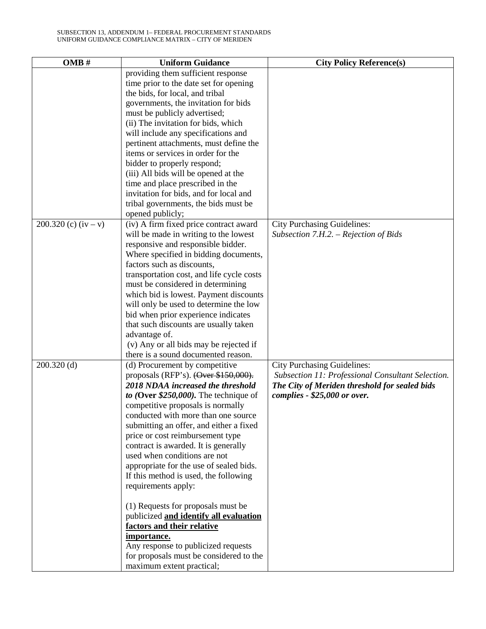| OMB#                   | <b>Uniform Guidance</b>                                               | <b>City Policy Reference(s)</b>                   |
|------------------------|-----------------------------------------------------------------------|---------------------------------------------------|
|                        | providing them sufficient response                                    |                                                   |
|                        | time prior to the date set for opening                                |                                                   |
|                        | the bids, for local, and tribal                                       |                                                   |
|                        | governments, the invitation for bids                                  |                                                   |
|                        | must be publicly advertised;                                          |                                                   |
|                        | (ii) The invitation for bids, which                                   |                                                   |
|                        | will include any specifications and                                   |                                                   |
|                        | pertinent attachments, must define the                                |                                                   |
|                        | items or services in order for the                                    |                                                   |
|                        | bidder to properly respond;                                           |                                                   |
|                        | (iii) All bids will be opened at the                                  |                                                   |
|                        | time and place prescribed in the                                      |                                                   |
|                        | invitation for bids, and for local and                                |                                                   |
|                        | tribal governments, the bids must be                                  |                                                   |
|                        | opened publicly;                                                      |                                                   |
| 200.320 (c) $(iv - v)$ | (iv) A firm fixed price contract award                                | <b>City Purchasing Guidelines:</b>                |
|                        | will be made in writing to the lowest                                 | Subsection 7.H.2. – Rejection of Bids             |
|                        | responsive and responsible bidder.                                    |                                                   |
|                        | Where specified in bidding documents,                                 |                                                   |
|                        | factors such as discounts,                                            |                                                   |
|                        | transportation cost, and life cycle costs                             |                                                   |
|                        | must be considered in determining                                     |                                                   |
|                        | which bid is lowest. Payment discounts                                |                                                   |
|                        | will only be used to determine the low                                |                                                   |
|                        | bid when prior experience indicates                                   |                                                   |
|                        | that such discounts are usually taken                                 |                                                   |
|                        | advantage of.                                                         |                                                   |
|                        | (v) Any or all bids may be rejected if                                |                                                   |
| $200.320$ (d)          | there is a sound documented reason.<br>(d) Procurement by competitive | <b>City Purchasing Guidelines:</b>                |
|                        | proposals (RFP's). $(\text{Over } $150,000)$ .                        | Subsection 11: Professional Consultant Selection. |
|                        | 2018 NDAA increased the threshold                                     | The City of Meriden threshold for sealed bids     |
|                        | to (Over $$250,000$ ). The technique of                               | complies - \$25,000 or over.                      |
|                        | competitive proposals is normally                                     |                                                   |
|                        | conducted with more than one source                                   |                                                   |
|                        | submitting an offer, and either a fixed                               |                                                   |
|                        | price or cost reimbursement type                                      |                                                   |
|                        | contract is awarded. It is generally                                  |                                                   |
|                        | used when conditions are not                                          |                                                   |
|                        | appropriate for the use of sealed bids.                               |                                                   |
|                        | If this method is used, the following                                 |                                                   |
|                        | requirements apply:                                                   |                                                   |
|                        |                                                                       |                                                   |
|                        | (1) Requests for proposals must be                                    |                                                   |
|                        | publicized and identify all evaluation                                |                                                   |
|                        | factors and their relative                                            |                                                   |
|                        | importance.                                                           |                                                   |
|                        | Any response to publicized requests                                   |                                                   |
|                        | for proposals must be considered to the                               |                                                   |
|                        | maximum extent practical;                                             |                                                   |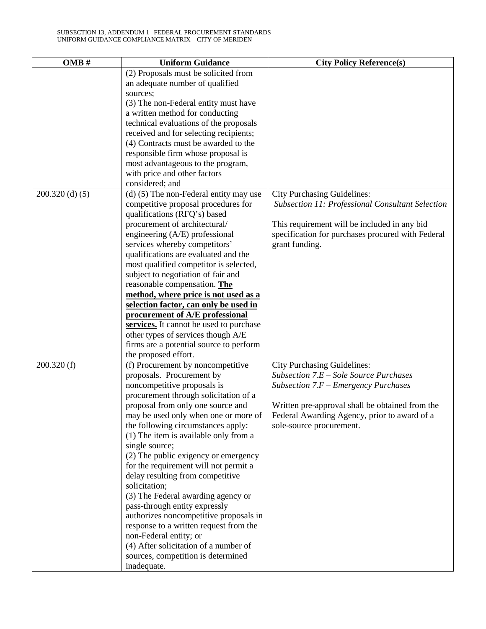| OMB#              | <b>Uniform Guidance</b>                                   | <b>City Policy Reference(s)</b>                                                |
|-------------------|-----------------------------------------------------------|--------------------------------------------------------------------------------|
|                   | (2) Proposals must be solicited from                      |                                                                                |
|                   | an adequate number of qualified                           |                                                                                |
|                   | sources;                                                  |                                                                                |
|                   | (3) The non-Federal entity must have                      |                                                                                |
|                   | a written method for conducting                           |                                                                                |
|                   | technical evaluations of the proposals                    |                                                                                |
|                   | received and for selecting recipients;                    |                                                                                |
|                   | (4) Contracts must be awarded to the                      |                                                                                |
|                   | responsible firm whose proposal is                        |                                                                                |
|                   | most advantageous to the program,                         |                                                                                |
|                   | with price and other factors                              |                                                                                |
|                   | considered; and                                           |                                                                                |
| $200.320$ (d) (5) | (d) (5) The non-Federal entity may use                    | <b>City Purchasing Guidelines:</b>                                             |
|                   | competitive proposal procedures for                       | Subsection 11: Professional Consultant Selection                               |
|                   | qualifications (RFQ's) based                              |                                                                                |
|                   | procurement of architectural/                             | This requirement will be included in any bid                                   |
|                   | engineering (A/E) professional                            | specification for purchases procured with Federal                              |
|                   | services whereby competitors'                             | grant funding.                                                                 |
|                   | qualifications are evaluated and the                      |                                                                                |
|                   | most qualified competitor is selected,                    |                                                                                |
|                   | subject to negotiation of fair and                        |                                                                                |
|                   | reasonable compensation. The                              |                                                                                |
|                   | method, where price is not used as a                      |                                                                                |
|                   | selection factor, can only be used in                     |                                                                                |
|                   | procurement of A/E professional                           |                                                                                |
|                   | services. It cannot be used to purchase                   |                                                                                |
|                   | other types of services though A/E                        |                                                                                |
|                   | firms are a potential source to perform                   |                                                                                |
|                   |                                                           |                                                                                |
| 200.320(f)        | the proposed effort.<br>(f) Procurement by noncompetitive |                                                                                |
|                   | proposals. Procurement by                                 | <b>City Purchasing Guidelines:</b><br>Subsection $7.E - Sole$ Source Purchases |
|                   | noncompetitive proposals is                               | Subsection $7.F$ – Emergency Purchases                                         |
|                   |                                                           |                                                                                |
|                   | procurement through solicitation of a                     |                                                                                |
|                   | proposal from only one source and                         | Written pre-approval shall be obtained from the                                |
|                   | may be used only when one or more of                      | Federal Awarding Agency, prior to award of a                                   |
|                   | the following circumstances apply:                        | sole-source procurement.                                                       |
|                   | (1) The item is available only from a                     |                                                                                |
|                   | single source;                                            |                                                                                |
|                   | (2) The public exigency or emergency                      |                                                                                |
|                   | for the requirement will not permit a                     |                                                                                |
|                   | delay resulting from competitive                          |                                                                                |
|                   | solicitation;                                             |                                                                                |
|                   | (3) The Federal awarding agency or                        |                                                                                |
|                   | pass-through entity expressly                             |                                                                                |
|                   | authorizes noncompetitive proposals in                    |                                                                                |
|                   | response to a written request from the                    |                                                                                |
|                   | non-Federal entity; or                                    |                                                                                |
|                   | (4) After solicitation of a number of                     |                                                                                |
|                   | sources, competition is determined                        |                                                                                |
|                   | inadequate.                                               |                                                                                |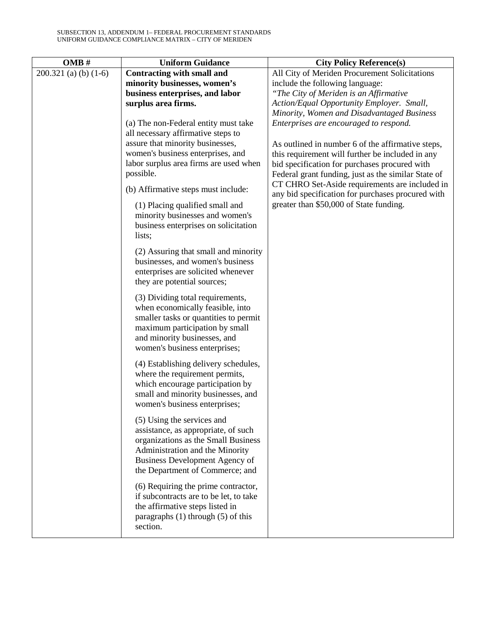| OMB#                    | <b>Uniform Guidance</b>                                                | <b>City Policy Reference(s)</b>                     |
|-------------------------|------------------------------------------------------------------------|-----------------------------------------------------|
| $200.321$ (a) (b) (1-6) | <b>Contracting with small and</b>                                      | All City of Meriden Procurement Solicitations       |
|                         | minority businesses, women's                                           | include the following language:                     |
|                         | business enterprises, and labor                                        | "The City of Meriden is an Affirmative              |
|                         | surplus area firms.                                                    | Action/Equal Opportunity Employer. Small,           |
|                         |                                                                        | Minority, Women and Disadvantaged Business          |
|                         | (a) The non-Federal entity must take                                   | Enterprises are encouraged to respond.              |
|                         | all necessary affirmative steps to<br>assure that minority businesses, | As outlined in number 6 of the affirmative steps,   |
|                         | women's business enterprises, and                                      | this requirement will further be included in any    |
|                         | labor surplus area firms are used when                                 | bid specification for purchases procured with       |
|                         | possible.                                                              | Federal grant funding, just as the similar State of |
|                         |                                                                        | CT CHRO Set-Aside requirements are included in      |
|                         | (b) Affirmative steps must include:                                    | any bid specification for purchases procured with   |
|                         | (1) Placing qualified small and                                        | greater than \$50,000 of State funding.             |
|                         | minority businesses and women's                                        |                                                     |
|                         | business enterprises on solicitation                                   |                                                     |
|                         | lists;                                                                 |                                                     |
|                         | (2) Assuring that small and minority                                   |                                                     |
|                         | businesses, and women's business                                       |                                                     |
|                         | enterprises are solicited whenever                                     |                                                     |
|                         | they are potential sources;                                            |                                                     |
|                         | (3) Dividing total requirements,                                       |                                                     |
|                         | when economically feasible, into                                       |                                                     |
|                         | smaller tasks or quantities to permit                                  |                                                     |
|                         | maximum participation by small<br>and minority businesses, and         |                                                     |
|                         | women's business enterprises;                                          |                                                     |
|                         |                                                                        |                                                     |
|                         | (4) Establishing delivery schedules,                                   |                                                     |
|                         | where the requirement permits,<br>which encourage participation by     |                                                     |
|                         | small and minority businesses, and                                     |                                                     |
|                         | women's business enterprises;                                          |                                                     |
|                         |                                                                        |                                                     |
|                         | (5) Using the services and<br>assistance, as appropriate, of such      |                                                     |
|                         | organizations as the Small Business                                    |                                                     |
|                         | Administration and the Minority                                        |                                                     |
|                         | Business Development Agency of                                         |                                                     |
|                         | the Department of Commerce; and                                        |                                                     |
|                         | (6) Requiring the prime contractor,                                    |                                                     |
|                         | if subcontracts are to be let, to take                                 |                                                     |
|                         | the affirmative steps listed in                                        |                                                     |
|                         | paragraphs $(1)$ through $(5)$ of this                                 |                                                     |
|                         | section.                                                               |                                                     |
|                         |                                                                        |                                                     |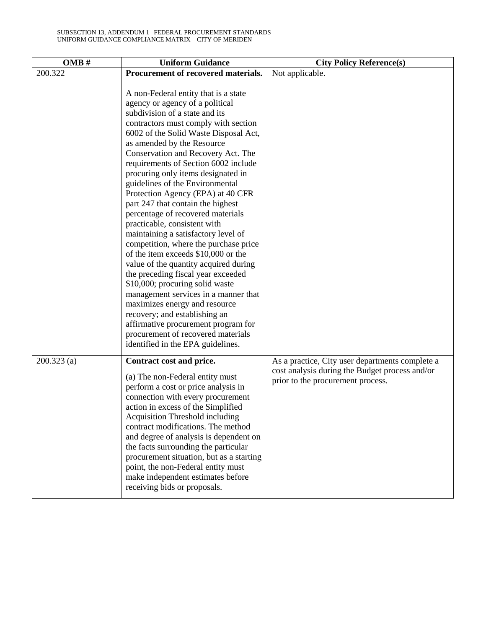| OMB#          | <b>Uniform Guidance</b>                                                                                                                                                                                                                                                                                                                                                                                                                                                                                                                                                                                                                                                                                                                                                                                                                                                                                                                                                                             | <b>City Policy Reference(s)</b>                                                     |
|---------------|-----------------------------------------------------------------------------------------------------------------------------------------------------------------------------------------------------------------------------------------------------------------------------------------------------------------------------------------------------------------------------------------------------------------------------------------------------------------------------------------------------------------------------------------------------------------------------------------------------------------------------------------------------------------------------------------------------------------------------------------------------------------------------------------------------------------------------------------------------------------------------------------------------------------------------------------------------------------------------------------------------|-------------------------------------------------------------------------------------|
| 200.322       | Procurement of recovered materials.                                                                                                                                                                                                                                                                                                                                                                                                                                                                                                                                                                                                                                                                                                                                                                                                                                                                                                                                                                 | Not applicable.                                                                     |
|               | A non-Federal entity that is a state<br>agency or agency of a political<br>subdivision of a state and its<br>contractors must comply with section<br>6002 of the Solid Waste Disposal Act,<br>as amended by the Resource<br>Conservation and Recovery Act. The<br>requirements of Section 6002 include<br>procuring only items designated in<br>guidelines of the Environmental<br>Protection Agency (EPA) at 40 CFR<br>part 247 that contain the highest<br>percentage of recovered materials<br>practicable, consistent with<br>maintaining a satisfactory level of<br>competition, where the purchase price<br>of the item exceeds \$10,000 or the<br>value of the quantity acquired during<br>the preceding fiscal year exceeded<br>\$10,000; procuring solid waste<br>management services in a manner that<br>maximizes energy and resource<br>recovery; and establishing an<br>affirmative procurement program for<br>procurement of recovered materials<br>identified in the EPA guidelines. |                                                                                     |
| $200.323$ (a) | Contract cost and price.                                                                                                                                                                                                                                                                                                                                                                                                                                                                                                                                                                                                                                                                                                                                                                                                                                                                                                                                                                            | As a practice, City user departments complete a                                     |
|               | (a) The non-Federal entity must<br>perform a cost or price analysis in<br>connection with every procurement<br>action in excess of the Simplified<br>Acquisition Threshold including<br>contract modifications. The method<br>and degree of analysis is dependent on<br>the facts surrounding the particular<br>procurement situation, but as a starting<br>point, the non-Federal entity must<br>make independent estimates before<br>receiving bids or proposals.                                                                                                                                                                                                                                                                                                                                                                                                                                                                                                                                 | cost analysis during the Budget process and/or<br>prior to the procurement process. |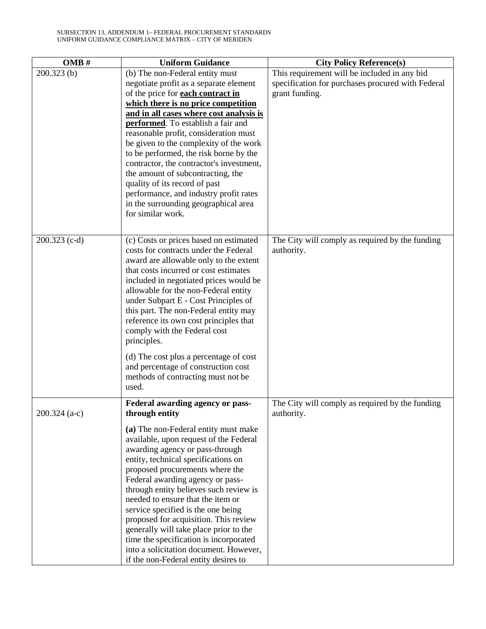| OMB#            | <b>Uniform Guidance</b>                                                         | <b>City Policy Reference(s)</b>                   |
|-----------------|---------------------------------------------------------------------------------|---------------------------------------------------|
| 200.323(b)      | (b) The non-Federal entity must                                                 | This requirement will be included in any bid      |
|                 | negotiate profit as a separate element                                          | specification for purchases procured with Federal |
|                 | of the price for <b>each contract in</b>                                        | grant funding.                                    |
|                 | which there is no price competition                                             |                                                   |
|                 | and in all cases where cost analysis is                                         |                                                   |
|                 | performed. To establish a fair and                                              |                                                   |
|                 | reasonable profit, consideration must                                           |                                                   |
|                 | be given to the complexity of the work                                          |                                                   |
|                 | to be performed, the risk borne by the                                          |                                                   |
|                 | contractor, the contractor's investment,<br>the amount of subcontracting, the   |                                                   |
|                 | quality of its record of past                                                   |                                                   |
|                 | performance, and industry profit rates                                          |                                                   |
|                 | in the surrounding geographical area                                            |                                                   |
|                 | for similar work.                                                               |                                                   |
|                 |                                                                                 |                                                   |
|                 |                                                                                 |                                                   |
| 200.323 (c-d)   | (c) Costs or prices based on estimated<br>costs for contracts under the Federal | The City will comply as required by the funding   |
|                 | award are allowable only to the extent                                          | authority.                                        |
|                 | that costs incurred or cost estimates                                           |                                                   |
|                 | included in negotiated prices would be                                          |                                                   |
|                 | allowable for the non-Federal entity                                            |                                                   |
|                 | under Subpart E - Cost Principles of                                            |                                                   |
|                 | this part. The non-Federal entity may                                           |                                                   |
|                 | reference its own cost principles that                                          |                                                   |
|                 | comply with the Federal cost                                                    |                                                   |
|                 | principles.                                                                     |                                                   |
|                 | (d) The cost plus a percentage of cost                                          |                                                   |
|                 | and percentage of construction cost                                             |                                                   |
|                 | methods of contracting must not be                                              |                                                   |
|                 | used.                                                                           |                                                   |
|                 | Federal awarding agency or pass-                                                | The City will comply as required by the funding   |
| $200.324$ (a-c) | through entity                                                                  | authority.                                        |
|                 |                                                                                 |                                                   |
|                 | (a) The non-Federal entity must make                                            |                                                   |
|                 | available, upon request of the Federal<br>awarding agency or pass-through       |                                                   |
|                 | entity, technical specifications on                                             |                                                   |
|                 | proposed procurements where the                                                 |                                                   |
|                 | Federal awarding agency or pass-                                                |                                                   |
|                 | through entity believes such review is                                          |                                                   |
|                 | needed to ensure that the item or                                               |                                                   |
|                 | service specified is the one being                                              |                                                   |
|                 | proposed for acquisition. This review                                           |                                                   |
|                 | generally will take place prior to the                                          |                                                   |
|                 | time the specification is incorporated                                          |                                                   |
|                 | into a solicitation document. However,                                          |                                                   |
|                 | if the non-Federal entity desires to                                            |                                                   |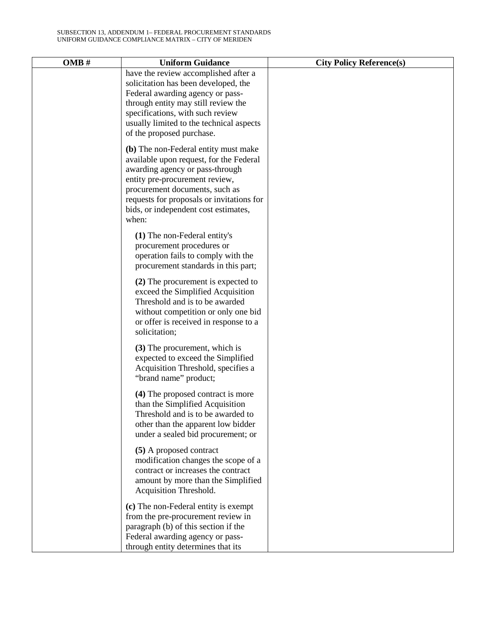| OMB# | <b>Uniform Guidance</b>                                                                                                                                                                                                                                                              | <b>City Policy Reference(s)</b> |
|------|--------------------------------------------------------------------------------------------------------------------------------------------------------------------------------------------------------------------------------------------------------------------------------------|---------------------------------|
|      | have the review accomplished after a<br>solicitation has been developed, the<br>Federal awarding agency or pass-<br>through entity may still review the<br>specifications, with such review<br>usually limited to the technical aspects<br>of the proposed purchase.                 |                                 |
|      | (b) The non-Federal entity must make<br>available upon request, for the Federal<br>awarding agency or pass-through<br>entity pre-procurement review,<br>procurement documents, such as<br>requests for proposals or invitations for<br>bids, or independent cost estimates,<br>when: |                                 |
|      | (1) The non-Federal entity's<br>procurement procedures or<br>operation fails to comply with the<br>procurement standards in this part;                                                                                                                                               |                                 |
|      | (2) The procurement is expected to<br>exceed the Simplified Acquisition<br>Threshold and is to be awarded<br>without competition or only one bid<br>or offer is received in response to a<br>solicitation;                                                                           |                                 |
|      | (3) The procurement, which is<br>expected to exceed the Simplified<br>Acquisition Threshold, specifies a<br>"brand name" product;                                                                                                                                                    |                                 |
|      | (4) The proposed contract is more<br>than the Simplified Acquisition<br>Threshold and is to be awarded to<br>other than the apparent low bidder<br>under a sealed bid procurement; or                                                                                                |                                 |
|      | (5) A proposed contract<br>modification changes the scope of a<br>contract or increases the contract<br>amount by more than the Simplified<br>Acquisition Threshold.                                                                                                                 |                                 |
|      | (c) The non-Federal entity is exempt<br>from the pre-procurement review in<br>paragraph (b) of this section if the<br>Federal awarding agency or pass-<br>through entity determines that its                                                                                         |                                 |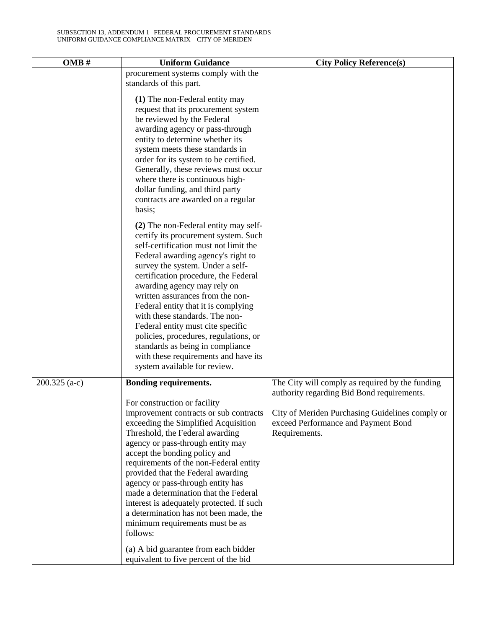| OMB#          | <b>Uniform Guidance</b>                                                                                                                                                                                                                                                                                                                                                                                                                                                                                                                                                                      | <b>City Policy Reference(s)</b>                                                                                                                                                                          |
|---------------|----------------------------------------------------------------------------------------------------------------------------------------------------------------------------------------------------------------------------------------------------------------------------------------------------------------------------------------------------------------------------------------------------------------------------------------------------------------------------------------------------------------------------------------------------------------------------------------------|----------------------------------------------------------------------------------------------------------------------------------------------------------------------------------------------------------|
|               | procurement systems comply with the<br>standards of this part.                                                                                                                                                                                                                                                                                                                                                                                                                                                                                                                               |                                                                                                                                                                                                          |
|               | (1) The non-Federal entity may<br>request that its procurement system<br>be reviewed by the Federal<br>awarding agency or pass-through<br>entity to determine whether its<br>system meets these standards in<br>order for its system to be certified.<br>Generally, these reviews must occur<br>where there is continuous high-<br>dollar funding, and third party<br>contracts are awarded on a regular<br>basis;                                                                                                                                                                           |                                                                                                                                                                                                          |
|               | (2) The non-Federal entity may self-<br>certify its procurement system. Such<br>self-certification must not limit the<br>Federal awarding agency's right to<br>survey the system. Under a self-<br>certification procedure, the Federal<br>awarding agency may rely on<br>written assurances from the non-<br>Federal entity that it is complying<br>with these standards. The non-<br>Federal entity must cite specific<br>policies, procedures, regulations, or<br>standards as being in compliance<br>with these requirements and have its<br>system available for review.                |                                                                                                                                                                                                          |
| 200.325 (a-c) | Bonding requirements.<br>For construction or facility<br>improvement contracts or sub contracts<br>exceeding the Simplified Acquisition<br>Threshold, the Federal awarding<br>agency or pass-through entity may<br>accept the bonding policy and<br>requirements of the non-Federal entity<br>provided that the Federal awarding<br>agency or pass-through entity has<br>made a determination that the Federal<br>interest is adequately protected. If such<br>a determination has not been made, the<br>minimum requirements must be as<br>follows:<br>(a) A bid guarantee from each bidder | The City will comply as required by the funding<br>authority regarding Bid Bond requirements.<br>City of Meriden Purchasing Guidelines comply or<br>exceed Performance and Payment Bond<br>Requirements. |
|               | equivalent to five percent of the bid                                                                                                                                                                                                                                                                                                                                                                                                                                                                                                                                                        |                                                                                                                                                                                                          |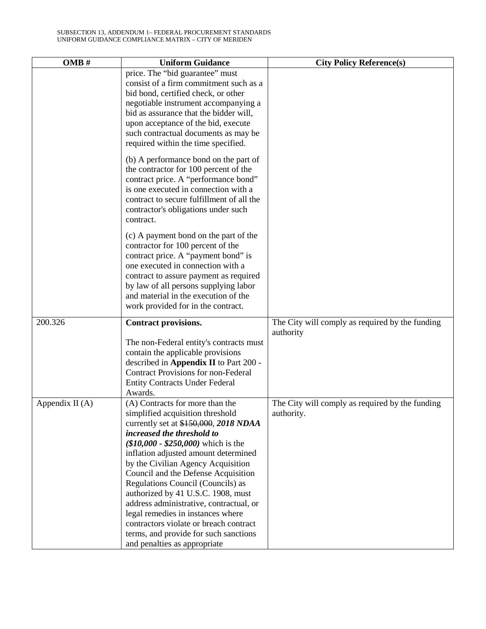| OMB#              | <b>Uniform Guidance</b>                                                                                                                                                                                                                                                                                                  | <b>City Policy Reference(s)</b>                               |
|-------------------|--------------------------------------------------------------------------------------------------------------------------------------------------------------------------------------------------------------------------------------------------------------------------------------------------------------------------|---------------------------------------------------------------|
|                   | price. The "bid guarantee" must<br>consist of a firm commitment such as a<br>bid bond, certified check, or other<br>negotiable instrument accompanying a<br>bid as assurance that the bidder will,<br>upon acceptance of the bid, execute<br>such contractual documents as may be<br>required within the time specified. |                                                               |
|                   | (b) A performance bond on the part of<br>the contractor for 100 percent of the<br>contract price. A "performance bond"<br>is one executed in connection with a<br>contract to secure fulfillment of all the<br>contractor's obligations under such<br>contract.                                                          |                                                               |
|                   | (c) A payment bond on the part of the<br>contractor for 100 percent of the<br>contract price. A "payment bond" is<br>one executed in connection with a<br>contract to assure payment as required<br>by law of all persons supplying labor<br>and material in the execution of the<br>work provided for in the contract.  |                                                               |
| 200.326           | Contract provisions.<br>The non-Federal entity's contracts must                                                                                                                                                                                                                                                          | The City will comply as required by the funding<br>authority  |
|                   | contain the applicable provisions<br>described in Appendix II to Part 200 -<br>Contract Provisions for non-Federal<br><b>Entity Contracts Under Federal</b><br>Awards.                                                                                                                                                   |                                                               |
| Appendix II $(A)$ | (A) Contracts for more than the<br>simplified acquisition threshold<br>currently set at \$150,000, 2018 NDAA                                                                                                                                                                                                             | The City will comply as required by the funding<br>authority. |
|                   | increased the threshold to<br>$($10,000 - $250,000)$ which is the                                                                                                                                                                                                                                                        |                                                               |
|                   | inflation adjusted amount determined<br>by the Civilian Agency Acquisition                                                                                                                                                                                                                                               |                                                               |
|                   | Council and the Defense Acquisition<br>Regulations Council (Councils) as                                                                                                                                                                                                                                                 |                                                               |
|                   | authorized by 41 U.S.C. 1908, must<br>address administrative, contractual, or                                                                                                                                                                                                                                            |                                                               |
|                   | legal remedies in instances where                                                                                                                                                                                                                                                                                        |                                                               |
|                   | contractors violate or breach contract                                                                                                                                                                                                                                                                                   |                                                               |
|                   | terms, and provide for such sanctions<br>and penalties as appropriate                                                                                                                                                                                                                                                    |                                                               |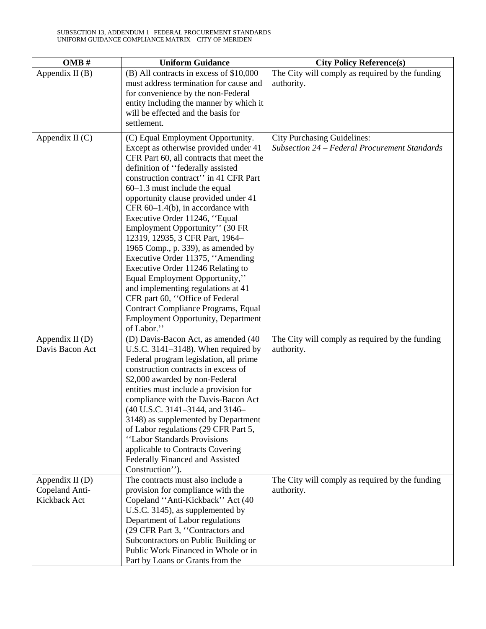| OMB#              | <b>Uniform Guidance</b>                                                       | <b>City Policy Reference(s)</b>                 |
|-------------------|-------------------------------------------------------------------------------|-------------------------------------------------|
| Appendix II $(B)$ | (B) All contracts in excess of \$10,000                                       | The City will comply as required by the funding |
|                   | must address termination for cause and                                        | authority.                                      |
|                   | for convenience by the non-Federal                                            |                                                 |
|                   | entity including the manner by which it                                       |                                                 |
|                   | will be effected and the basis for<br>settlement.                             |                                                 |
|                   |                                                                               |                                                 |
| Appendix $II(C)$  | (C) Equal Employment Opportunity.                                             | <b>City Purchasing Guidelines:</b>              |
|                   | Except as otherwise provided under 41                                         | Subsection 24 – Federal Procurement Standards   |
|                   | CFR Part 60, all contracts that meet the<br>definition of "federally assisted |                                                 |
|                   | construction contract" in 41 CFR Part                                         |                                                 |
|                   | $60-1.3$ must include the equal                                               |                                                 |
|                   | opportunity clause provided under 41                                          |                                                 |
|                   | CFR $60-1.4(b)$ , in accordance with                                          |                                                 |
|                   | Executive Order 11246, "Equal                                                 |                                                 |
|                   | Employment Opportunity" (30 FR                                                |                                                 |
|                   | 12319, 12935, 3 CFR Part, 1964-                                               |                                                 |
|                   | 1965 Comp., p. 339), as amended by                                            |                                                 |
|                   | Executive Order 11375, "Amending                                              |                                                 |
|                   | Executive Order 11246 Relating to<br>Equal Employment Opportunity,"           |                                                 |
|                   | and implementing regulations at 41                                            |                                                 |
|                   | CFR part 60, "Office of Federal                                               |                                                 |
|                   | Contract Compliance Programs, Equal                                           |                                                 |
|                   | <b>Employment Opportunity, Department</b>                                     |                                                 |
|                   | of Labor."                                                                    |                                                 |
| Appendix II $(D)$ | (D) Davis-Bacon Act, as amended (40                                           | The City will comply as required by the funding |
| Davis Bacon Act   | U.S.C. $3141-3148$ ). When required by                                        | authority.                                      |
|                   | Federal program legislation, all prime<br>construction contracts in excess of |                                                 |
|                   | \$2,000 awarded by non-Federal                                                |                                                 |
|                   | entities must include a provision for                                         |                                                 |
|                   | compliance with the Davis-Bacon Act                                           |                                                 |
|                   | (40 U.S.C. 3141–3144, and 3146–                                               |                                                 |
|                   | 3148) as supplemented by Department                                           |                                                 |
|                   | of Labor regulations (29 CFR Part 5,                                          |                                                 |
|                   | "Labor Standards Provisions                                                   |                                                 |
|                   | applicable to Contracts Covering                                              |                                                 |
|                   | Federally Financed and Assisted<br>Construction").                            |                                                 |
| Appendix II $(D)$ | The contracts must also include a                                             | The City will comply as required by the funding |
| Copeland Anti-    | provision for compliance with the                                             | authority.                                      |
| Kickback Act      | Copeland "Anti-Kickback" Act (40                                              |                                                 |
|                   | U.S.C. 3145), as supplemented by                                              |                                                 |
|                   | Department of Labor regulations                                               |                                                 |
|                   | (29 CFR Part 3, "Contractors and                                              |                                                 |
|                   | Subcontractors on Public Building or                                          |                                                 |
|                   | Public Work Financed in Whole or in                                           |                                                 |
|                   | Part by Loans or Grants from the                                              |                                                 |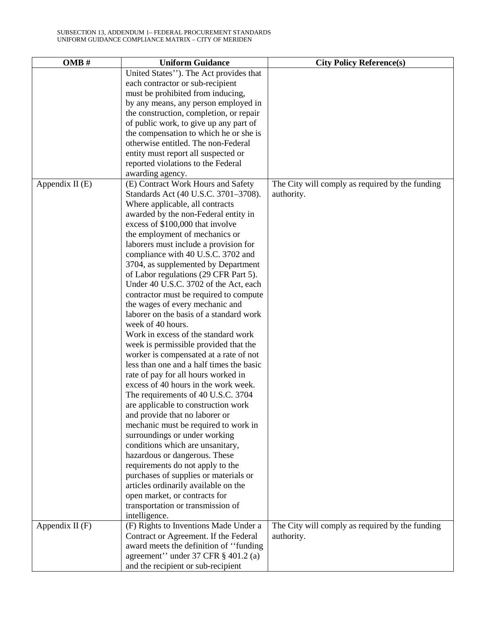| OMB#              | <b>Uniform Guidance</b>                  | <b>City Policy Reference(s)</b>                 |
|-------------------|------------------------------------------|-------------------------------------------------|
|                   | United States"). The Act provides that   |                                                 |
|                   | each contractor or sub-recipient         |                                                 |
|                   | must be prohibited from inducing,        |                                                 |
|                   | by any means, any person employed in     |                                                 |
|                   | the construction, completion, or repair  |                                                 |
|                   | of public work, to give up any part of   |                                                 |
|                   | the compensation to which he or she is   |                                                 |
|                   | otherwise entitled. The non-Federal      |                                                 |
|                   | entity must report all suspected or      |                                                 |
|                   | reported violations to the Federal       |                                                 |
|                   | awarding agency.                         |                                                 |
| Appendix II $(E)$ | (E) Contract Work Hours and Safety       | The City will comply as required by the funding |
|                   | Standards Act (40 U.S.C. 3701-3708).     | authority.                                      |
|                   | Where applicable, all contracts          |                                                 |
|                   | awarded by the non-Federal entity in     |                                                 |
|                   | excess of \$100,000 that involve         |                                                 |
|                   | the employment of mechanics or           |                                                 |
|                   | laborers must include a provision for    |                                                 |
|                   | compliance with 40 U.S.C. 3702 and       |                                                 |
|                   | 3704, as supplemented by Department      |                                                 |
|                   | of Labor regulations (29 CFR Part 5).    |                                                 |
|                   | Under 40 U.S.C. 3702 of the Act, each    |                                                 |
|                   | contractor must be required to compute   |                                                 |
|                   | the wages of every mechanic and          |                                                 |
|                   | laborer on the basis of a standard work  |                                                 |
|                   | week of 40 hours.                        |                                                 |
|                   | Work in excess of the standard work      |                                                 |
|                   | week is permissible provided that the    |                                                 |
|                   | worker is compensated at a rate of not   |                                                 |
|                   | less than one and a half times the basic |                                                 |
|                   | rate of pay for all hours worked in      |                                                 |
|                   | excess of 40 hours in the work week.     |                                                 |
|                   | The requirements of 40 U.S.C. 3704       |                                                 |
|                   | are applicable to construction work      |                                                 |
|                   | and provide that no laborer or           |                                                 |
|                   | mechanic must be required to work in     |                                                 |
|                   | surroundings or under working            |                                                 |
|                   | conditions which are unsanitary,         |                                                 |
|                   | hazardous or dangerous. These            |                                                 |
|                   | requirements do not apply to the         |                                                 |
|                   | purchases of supplies or materials or    |                                                 |
|                   | articles ordinarily available on the     |                                                 |
|                   | open market, or contracts for            |                                                 |
|                   | transportation or transmission of        |                                                 |
|                   | intelligence.                            |                                                 |
| Appendix $II(F)$  | (F) Rights to Inventions Made Under a    | The City will comply as required by the funding |
|                   | Contract or Agreement. If the Federal    | authority.                                      |
|                   | award meets the definition of "funding"  |                                                 |
|                   | agreement" under 37 CFR § 401.2 (a)      |                                                 |
|                   | and the recipient or sub-recipient       |                                                 |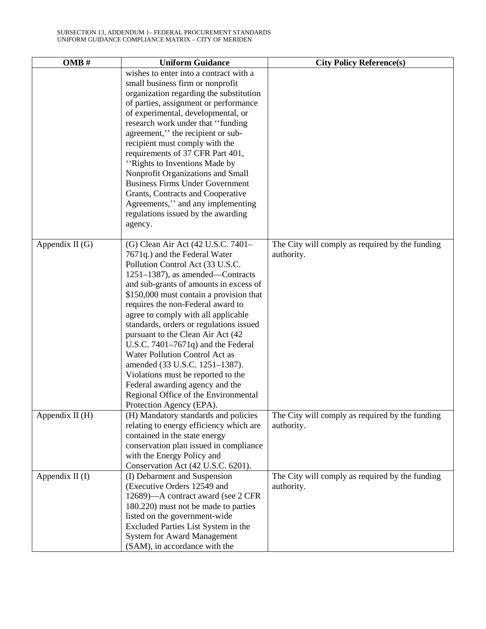| OMB#              | <b>Uniform Guidance</b>                                          | <b>City Policy Reference(s)</b>                 |
|-------------------|------------------------------------------------------------------|-------------------------------------------------|
|                   | wishes to enter into a contract with a                           |                                                 |
|                   | small business firm or nonprofit                                 |                                                 |
|                   | organization regarding the substitution                          |                                                 |
|                   | of parties, assignment or performance                            |                                                 |
|                   | of experimental, developmental, or                               |                                                 |
|                   | research work under that "funding"                               |                                                 |
|                   | agreement," the recipient or sub-                                |                                                 |
|                   | recipient must comply with the                                   |                                                 |
|                   | requirements of 37 CFR Part 401,                                 |                                                 |
|                   | "Rights to Inventions Made by"                                   |                                                 |
|                   | Nonprofit Organizations and Small                                |                                                 |
|                   | <b>Business Firms Under Government</b>                           |                                                 |
|                   | Grants, Contracts and Cooperative                                |                                                 |
|                   | Agreements," and any implementing                                |                                                 |
|                   | regulations issued by the awarding                               |                                                 |
|                   | agency.                                                          |                                                 |
|                   |                                                                  |                                                 |
| Appendix II $(G)$ | (G) Clean Air Act (42 U.S.C. 7401-                               | The City will comply as required by the funding |
|                   | 7671q.) and the Federal Water                                    | authority.                                      |
|                   | Pollution Control Act (33 U.S.C.                                 |                                                 |
|                   | 1251–1387), as amended—Contracts                                 |                                                 |
|                   | and sub-grants of amounts in excess of                           |                                                 |
|                   | \$150,000 must contain a provision that                          |                                                 |
|                   | requires the non-Federal award to                                |                                                 |
|                   | agree to comply with all applicable                              |                                                 |
|                   | standards, orders or regulations issued                          |                                                 |
|                   | pursuant to the Clean Air Act (42)                               |                                                 |
|                   | U.S.C. $7401-7671q$ and the Federal                              |                                                 |
|                   | Water Pollution Control Act as                                   |                                                 |
|                   | amended (33 U.S.C. 1251-1387).                                   |                                                 |
|                   | Violations must be reported to the                               |                                                 |
|                   | Federal awarding agency and the                                  |                                                 |
|                   | Regional Office of the Environmental<br>Protection Agency (EPA). |                                                 |
| Appendix II (H)   | (H) Mandatory standards and policies                             | The City will comply as required by the funding |
|                   | relating to energy efficiency which are                          | authority.                                      |
|                   | contained in the state energy                                    |                                                 |
|                   | conservation plan issued in compliance                           |                                                 |
|                   | with the Energy Policy and                                       |                                                 |
|                   | Conservation Act (42 U.S.C. 6201).                               |                                                 |
| Appendix $II(I)$  | (I) Debarment and Suspension                                     | The City will comply as required by the funding |
|                   | (Executive Orders 12549 and                                      | authority.                                      |
|                   | 12689)—A contract award (see 2 CFR                               |                                                 |
|                   | 180.220) must not be made to parties                             |                                                 |
|                   | listed on the government-wide                                    |                                                 |
|                   | Excluded Parties List System in the                              |                                                 |
|                   | <b>System for Award Management</b>                               |                                                 |
|                   | (SAM), in accordance with the                                    |                                                 |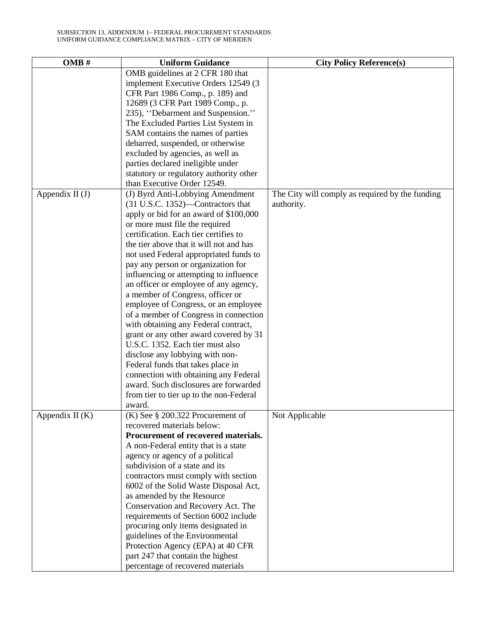| OMB#<br><b>Uniform Guidance</b>                                      | <b>City Policy Reference(s)</b>                 |
|----------------------------------------------------------------------|-------------------------------------------------|
| OMB guidelines at 2 CFR 180 that                                     |                                                 |
| implement Executive Orders 12549 (3)                                 |                                                 |
| CFR Part 1986 Comp., p. 189) and                                     |                                                 |
| 12689 (3 CFR Part 1989 Comp., p.                                     |                                                 |
| 235), "Debarment and Suspension."                                    |                                                 |
| The Excluded Parties List System in                                  |                                                 |
| SAM contains the names of parties                                    |                                                 |
| debarred, suspended, or otherwise                                    |                                                 |
| excluded by agencies, as well as                                     |                                                 |
| parties declared ineligible under                                    |                                                 |
| statutory or regulatory authority other                              |                                                 |
| than Executive Order 12549.                                          |                                                 |
| Appendix $II(J)$<br>(J) Byrd Anti-Lobbying Amendment                 | The City will comply as required by the funding |
| (31 U.S.C. 1352)—Contractors that<br>authority.                      |                                                 |
| apply or bid for an award of \$100,000                               |                                                 |
| or more must file the required                                       |                                                 |
| certification. Each tier certifies to                                |                                                 |
| the tier above that it will not and has                              |                                                 |
| not used Federal appropriated funds to                               |                                                 |
| pay any person or organization for                                   |                                                 |
| influencing or attempting to influence                               |                                                 |
| an officer or employee of any agency,                                |                                                 |
| a member of Congress, officer or                                     |                                                 |
| employee of Congress, or an employee                                 |                                                 |
| of a member of Congress in connection                                |                                                 |
| with obtaining any Federal contract,                                 |                                                 |
| grant or any other award covered by 31                               |                                                 |
| U.S.C. 1352. Each tier must also                                     |                                                 |
| disclose any lobbying with non-                                      |                                                 |
| Federal funds that takes place in                                    |                                                 |
| connection with obtaining any Federal                                |                                                 |
| award. Such disclosures are forwarded                                |                                                 |
| from tier to tier up to the non-Federal                              |                                                 |
| award.                                                               |                                                 |
| Appendix II $(K)$<br>$(K)$ See § 200.322 Procurement of              | Not Applicable                                  |
| recovered materials below:                                           |                                                 |
| Procurement of recovered materials.                                  |                                                 |
| A non-Federal entity that is a state                                 |                                                 |
| agency or agency of a political                                      |                                                 |
| subdivision of a state and its                                       |                                                 |
| contractors must comply with section                                 |                                                 |
| 6002 of the Solid Waste Disposal Act,                                |                                                 |
| as amended by the Resource                                           |                                                 |
| Conservation and Recovery Act. The                                   |                                                 |
| requirements of Section 6002 include                                 |                                                 |
| procuring only items designated in                                   |                                                 |
| guidelines of the Environmental<br>Protection Agency (EPA) at 40 CFR |                                                 |
| part 247 that contain the highest                                    |                                                 |
| percentage of recovered materials                                    |                                                 |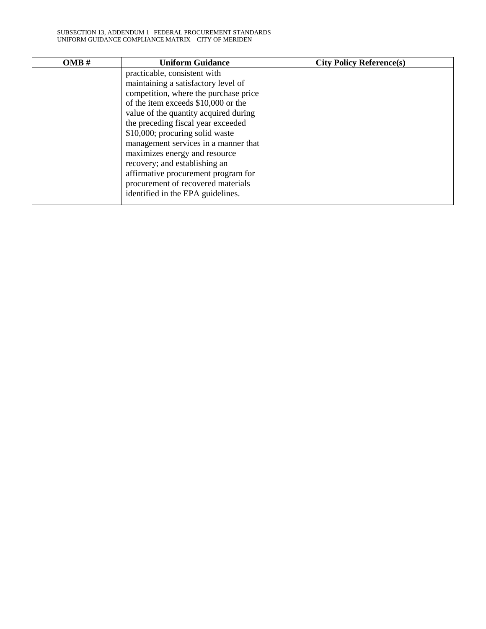| OMB# | <b>Uniform Guidance</b>               | <b>City Policy Reference(s)</b> |
|------|---------------------------------------|---------------------------------|
|      | practicable, consistent with          |                                 |
|      | maintaining a satisfactory level of   |                                 |
|      | competition, where the purchase price |                                 |
|      | of the item exceeds \$10,000 or the   |                                 |
|      | value of the quantity acquired during |                                 |
|      | the preceding fiscal year exceeded    |                                 |
|      | \$10,000; procuring solid waste       |                                 |
|      | management services in a manner that  |                                 |
|      | maximizes energy and resource         |                                 |
|      | recovery; and establishing an         |                                 |
|      | affirmative procurement program for   |                                 |
|      | procurement of recovered materials    |                                 |
|      | identified in the EPA guidelines.     |                                 |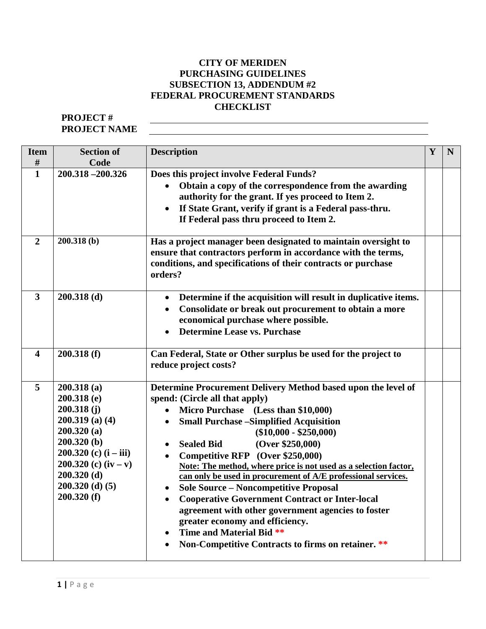# **CITY OF MERIDEN PURCHASING GUIDELINES SUBSECTION 13, ADDENDUM #2 FEDERAL PROCUREMENT STANDARDS CHECKLIST**

# **PROJECT # PROJECT NAME**

| <b>Item</b>             | <b>Section of</b>                                                                                                                                                                                  | <b>Description</b>                                                                                                                                                                                                                                                                                                                                                                                                                                                                                                                                                                                                                                                                                                                                                             | Y | N |
|-------------------------|----------------------------------------------------------------------------------------------------------------------------------------------------------------------------------------------------|--------------------------------------------------------------------------------------------------------------------------------------------------------------------------------------------------------------------------------------------------------------------------------------------------------------------------------------------------------------------------------------------------------------------------------------------------------------------------------------------------------------------------------------------------------------------------------------------------------------------------------------------------------------------------------------------------------------------------------------------------------------------------------|---|---|
| #                       | Code                                                                                                                                                                                               |                                                                                                                                                                                                                                                                                                                                                                                                                                                                                                                                                                                                                                                                                                                                                                                |   |   |
| $\mathbf{1}$            | 200.318 -200.326                                                                                                                                                                                   | Does this project involve Federal Funds?<br>Obtain a copy of the correspondence from the awarding<br>authority for the grant. If yes proceed to Item 2.<br>If State Grant, verify if grant is a Federal pass-thru.<br>$\bullet$<br>If Federal pass thru proceed to Item 2.                                                                                                                                                                                                                                                                                                                                                                                                                                                                                                     |   |   |
| $\overline{2}$          | 200.318(b)                                                                                                                                                                                         | Has a project manager been designated to maintain oversight to<br>ensure that contractors perform in accordance with the terms,<br>conditions, and specifications of their contracts or purchase<br>orders?                                                                                                                                                                                                                                                                                                                                                                                                                                                                                                                                                                    |   |   |
| $\overline{\mathbf{3}}$ | $200.318$ (d)                                                                                                                                                                                      | Determine if the acquisition will result in duplicative items.<br>$\bullet$<br>Consolidate or break out procurement to obtain a more<br>$\bullet$<br>economical purchase where possible.<br><b>Determine Lease vs. Purchase</b>                                                                                                                                                                                                                                                                                                                                                                                                                                                                                                                                                |   |   |
| $\overline{\mathbf{4}}$ | 200.318(f)                                                                                                                                                                                         | Can Federal, State or Other surplus be used for the project to<br>reduce project costs?                                                                                                                                                                                                                                                                                                                                                                                                                                                                                                                                                                                                                                                                                        |   |   |
| 5                       | 200.318(a)<br>$200.318$ (e)<br>200.318(j)<br>$200.319$ (a) (4)<br>200.320(a)<br>200.320(b)<br>$200.320$ (c) $(i - iii)$<br>200.320 (c) $(iv - v)$<br>200.320(d)<br>$200.320$ (d) (5)<br>200.320(f) | Determine Procurement Delivery Method based upon the level of<br>spend: (Circle all that apply)<br>Micro Purchase (Less than \$10,000)<br><b>Small Purchase - Simplified Acquisition</b><br>$\bullet$<br>$(\$10,000 - \$250,000)$<br>(Over \$250,000)<br><b>Sealed Bid</b><br>$\bullet$<br>Competitive RFP (Over \$250,000)<br>$\bullet$<br>Note: The method, where price is not used as a selection factor,<br>can only be used in procurement of A/E professional services.<br><b>Sole Source - Noncompetitive Proposal</b><br><b>Cooperative Government Contract or Inter-local</b><br>agreement with other government agencies to foster<br>greater economy and efficiency.<br>Time and Material Bid **<br>$\bullet$<br>Non-Competitive Contracts to firms on retainer. ** |   |   |